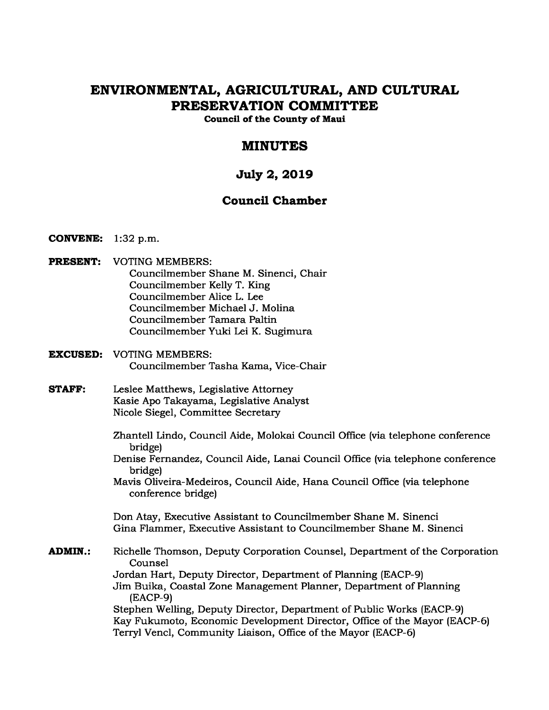# **ENVIRONMENTAL, AGRICULTURAL, AND CULTURAL PRESERVATION COMMITTEE**

**Council of the County of Maui** 

# **MINUTES**

# **July 2, 2019**

# **Council Chamber**

- **CONVENE:** 1:32 p.m.
- **PRESENT:** VOTING MEMBERS: Councilmember Shane M. Sinenci, Chair Councilmember Kelly T. King Councilmember Alice L. Lee Councilmember Michael J. Molina Councilmember Tamara Paltin Councilmember Yuki Lei K. Sugimura
- **EXCUSED:** VOTING MEMBERS: Councilmember Tasha Kama, Vice-Chair
- **STAFF:** Leslee Matthews, Legislative Attorney Kasie Apo Takayama, Legislative Analyst Nicole Siegel, Committee Secretary
	- Zhantell Lindo, Council Aide, Molokai Council Office (via telephone conference bridge)
	- Denise Fernandez, Council Aide, Lanai Council Office (via telephone conference bridge)
	- Mavis Oliveira-Medeiros, Council Aide, Hana Council Office (via telephone conference bridge)

Don Atay, Executive Assistant to Councilmember Shane M. Sinenci Gina Flammer, Executive Assistant to Councilmember Shane M. Sinenci

**ADMIN.:** Richelle Thomson, Deputy Corporation Counsel, Department of the Corporation Counsel Jordan Hart, Deputy Director, Department of Planning (EACP-9) Jim Buika, Coastal Zone Management Planner, Department of Planning (EACP-9) Stephen Welling, Deputy Director, Department of Public Works (EACP-9) Kay Fukumoto, Economic Development Director, Office of the Mayor (EACP-6) Terryl Vencl, Community Liaison, Office of the Mayor (EACP-6)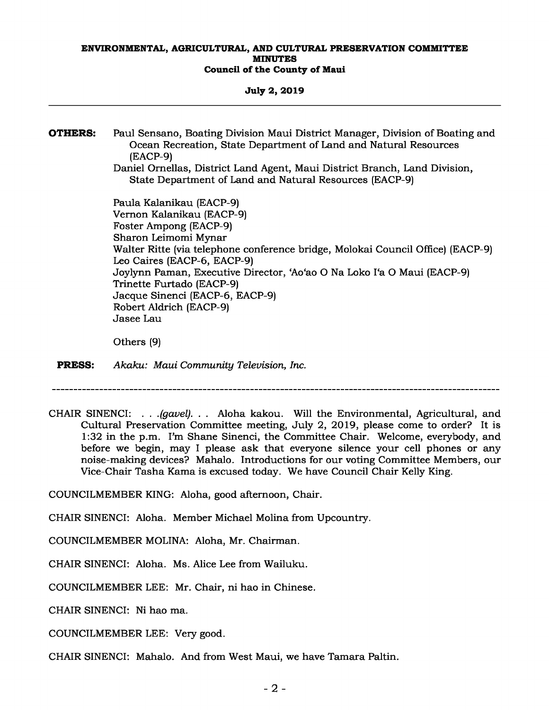**July 2, 2019** 

**OTHERS:** Paul Sensano, Boating Division Maui District Manager, Division of Boating and Ocean Recreation, State Department of Land and Natural Resources (EACP-9)

Daniel Ornellas, District Land Agent, Maui District Branch, Land Division, State Department of Land and Natural Resources (EACP-9)

Paula Kalanikau (EACP-9) Vernon Kalanikau (EACP-9) Foster Ampong (EACP-9) Sharon Leimomi Mynar Walter Ritte (via telephone conference bridge, Molokai Council Office) (EACP-9) Leo Caires (EACP-6, EACP-9) Joylynn Paman, Executive Director, 'Ao'ao O Na Loko I'a O Maui (EACP-9) Trinette Furtado (EACP-9) Jacque Sinenci (EACP-6, EACP-9) Robert Aldrich (EACP-9) Jasee Lau

Others (9)

**PRESS:** *Akaku: Maui Community Television, Inc.* 

CHAIR SINENCI: *. . .(gavel). . .* Aloha kakou. Will the Environmental, Agricultural, and Cultural Preservation Committee meeting, July 2, 2019, please come to order? It is 1:32 in the p.m. I'm Shane Sinenci, the Committee Chair. Welcome, everybody, and before we begin, may I please ask that everyone silence your cell phones or any noise-making devices? Mahalo. Introductions for our voting Committee Members, our Vice-Chair Tasha Kama is excused today. We have Council Chair Kelly King.

COUNCILMEMBER KING: Aloha, good afternoon, Chair.

CHAIR SINENCI: Aloha. Member Michael Molina from Upcountry.

COUNCILMEMBER MOLINA: Aloha, Mr. Chairman.

CHAIR SINENCI: Aloha. Ms. Alice Lee from Wailuku.

COUNCILMEMBER LEE: Mr. Chair, ni hao in Chinese.

CHAIR SINENCI: Ni hao ma.

COUNCILMEMBER LEE: Very good.

CHAIR SINENCI: Mahalo. And from West Maui, we have Tamara Paltin.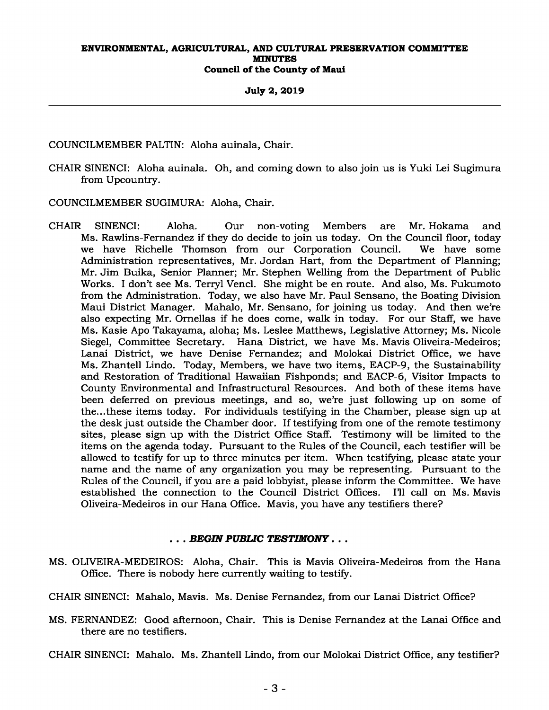#### **July 2, 2019**

COUNCILMEMBER PALTIN: Aloha auinala, Chair.

CHAIR SINENCI: Aloha auinala. Oh, and coming down to also join us is Yuki Lei Sugimura from Upcountry.

COUNCILMEMBER SUGIMURA: Aloha, Chair.

CHAIR SINENCI: Aloha. Our non-voting Members are Mr. Hokama and Ms. Rawlins-Fernandez if they do decide to join us today. On the Council floor, today we have Richelle Thomson from our Corporation Council. We have some Administration representatives, Mr. Jordan Hart, from the Department of Planning; Mr. Jim Buika, Senior Planner; Mr. Stephen Welling from the Department of Public Works. I don't see Ms. Terryl Vencl. She might be en route. And also, Ms. Fukumoto from the Administration. Today, we also have Mr. Paul Sensano, the Boating Division Maui District Manager. Mahalo, Mr. Sensano, for joining us today. And then we're also expecting Mr. Ornellas if he does come, walk in today. For our Staff, we have Ms. Kasie Apo Takayama, aloha; Ms. Leslee Matthews, Legislative Attorney; Ms. Nicole Siegel, Committee Secretary. Hana District, we have Ms. Mavis Oliveira-Medeiros; Lanai District, we have Denise Fernandez; and Molokai District Office, we have Ms. Zhantell Lindo. Today, Members, we have two items, EACP-9, the Sustainability and Restoration of Traditional Hawaiian Fishponds; and EACP-6, Visitor Impacts to County Environmental and Infrastructural Resources. And both of these items have been deferred on previous meetings, and so, we're just following up on some of the...these items today. For individuals testifying in the Chamber, please sign up at the desk just outside the Chamber door. If testifying from one of the remote testimony sites, please sign up with the District Office Staff. Testimony will be limited to the items on the agenda today. Pursuant to the Rules of the Council, each testifier will be allowed to testify for up to three minutes per item. When testifying, please state your name and the name of any organization you may be representing. Pursuant to the Rules of the Council, if you are a paid lobbyist, please inform the Committee. We have established the connection to the Council District Offices. I'll call on Ms. Mavis Oliveira-Medeiros in our Hana Office. Mavis, you have any testifiers there?

## *. . . BEGIN PUBLIC TESTIMONY . . .*

MS. OLIVEIRA-MEDEIROS: Aloha, Chair. This is Mavis Oliveira-Medeiros from the Hana Office. There is nobody here currently waiting to testify.

CHAIR SINENCI: Mahalo, Mavis. Ms. Denise Fernandez, from our Lanai District Office?

MS. FERNANDEZ: Good afternoon, Chair. This is Denise Fernandez at the Lanai Office and there are no testifiers.

CHAIR SINENCI: Mahalo. Ms. Zhantell Lindo, from our Molokai District Office, any testifier?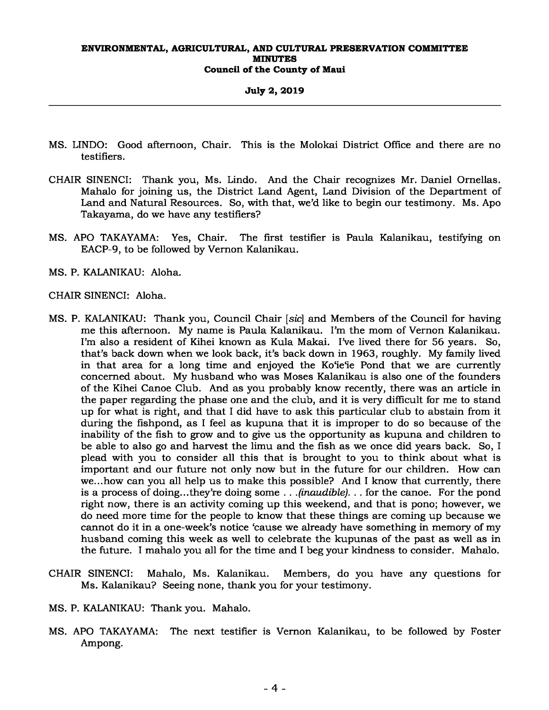**July 2, 2019** 

- MS. LINDO: Good afternoon, Chair. This is the Molokai District Office and there are no testifiers.
- CHAIR SINENCI: Thank you, Ms. Lindo. And the Chair recognizes Mr. Daniel Ornellas. Mahalo for joining us, the District Land Agent, Land Division of the Department of Land and Natural Resources. So, with that, we'd like to begin our testimony. Ms. Apo Takayama, do we have any testifiers?
- MS. APO TAKAYAMA: Yes, Chair. The first testifier is Paula Kalanikau, testifying on EACP-9, to be followed by Vernon Kalanikau.
- MS. P. KALANIKAU: Aloha.

## CHAIR SINENCI: Aloha.

- MS. P. KALANIKAU: Thank you, Council Chair [*sic*] and Members of the Council for having me this afternoon. My name is Paula Kalanikau. I'm the mom of Vernon Kalanikau. I'm also a resident of Kihei known as Kula Makai. I've lived there for 56 years. So, that's back down when we look back, it's back down in 1963, roughly. My family lived in that area for a long time and enjoyed the Ko'ie'ie Pond that we are currently concerned about. My husband who was Moses Kalanikau is also one of the founders of the Kihei Canoe Club. And as you probably know recently, there was an article in the paper regarding the phase one and the club, and it is very difficult for me to stand up for what is right, and that I did have to ask this particular club to abstain from it during the fishpond, as I feel as kupuna that it is improper to do so because of the inability of the fish to grow and to give us the opportunity as kupuna and children to be able to also go and harvest the limu and the fish as we once did years back. So, I plead with you to consider all this that is brought to you to think about what is important and our future not only now but in the future for our children. How can we...how can you all help us to make this possible? And I know that currently, there is a process of doing...they're doing some *. . .(inaudible). . .* for the canoe. For the pond right now, there is an activity coming up this weekend, and that is pono; however, we do need more time for the people to know that these things are coming up because we cannot do it in a one-week's notice 'cause we already have something in memory of my husband coming this week as well to celebrate the kupunas of the past as well as in the future. I mahalo you all for the time and I beg your kindness to consider. Mahalo.
- CHAIR SINENCI: Mahalo, Ms. Kalanikau. Members, do you have any questions for Ms. Kalanikau? Seeing none, thank you for your testimony.
- MS. P. KALANIKAU: Thank you. Mahalo.
- MS. APO TAKAYAMA: The next testifier is Vernon Kalanikau, to be followed by Foster Ampong.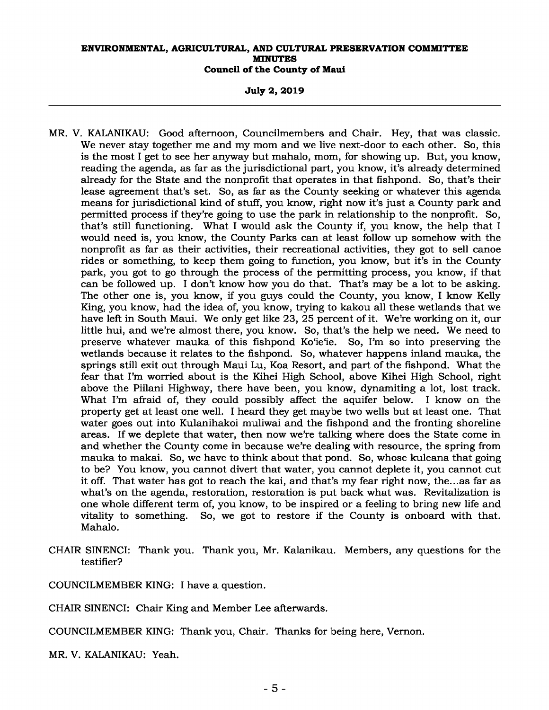**July 2, 2019** 

- MR. V. KALANIKAU: Good afternoon, Councilmembers and Chair. Hey, that was classic. We never stay together me and my mom and we live next-door to each other. So, this is the most I get to see her anyway but mahalo, mom, for showing up. But, you know, reading the agenda, as far as the jurisdictional part, you know, it's already determined already for the State and the nonprofit that operates in that fishpond. So, that's their lease agreement that's set. So, as far as the County seeking or whatever this agenda means for jurisdictional kind of stuff, you know, right now it's just a County park and permitted process if they're going to use the park in relationship to the nonprofit. So, that's still functioning. What I would ask the County if, you know, the help that I would need is, you know, the County Parks can at least follow up somehow with the nonprofit as far as their activities, their recreational activities, they got to sell canoe rides or something, to keep them going to function, you know, but it's in the County park, you got to go through the process of the permitting process, you know, if that can be followed up. I don't know how you do that. That's may be a lot to be asking. The other one is, you know, if you guys could the County, you know, I know Kelly King, you know, had the idea of, you know, trying to kakou all these wetlands that we have left in South Maui. We only get like 23, 25 percent of it. We're working on it, our little hui, and we're almost there, you know. So, that's the help we need. We need to preserve whatever mauka of this fishpond Ko'ie'ie. So, I'm so into preserving the wetlands because it relates to the fishpond. So, whatever happens inland mauka, the springs still exit out through Maui Lu, Koa Resort, and part of the fishpond. What the fear that I'm worried about is the Kihei High School, above Kihei High School, right above the Piilani Highway, there have been, you know, dynamiting a lot, lost track. What I'm afraid of, they could possibly affect the aquifer below. I know on the property get at least one well. I heard they get maybe two wells but at least one. That water goes out into Kulanihakoi muliwai and the fishpond and the fronting shoreline areas. If we deplete that water, then now we're talking where does the State come in and whether the County come in because we're dealing with resource, the spring from mauka to makai. So, we have to think about that pond. So, whose kuleana that going to be? You know, you cannot divert that water, you cannot deplete it, you cannot cut it off. That water has got to reach the kai, and that's my fear right now, the...as far as what's on the agenda, restoration, restoration is put back what was. Revitalization is one whole different term of, you know, to be inspired or a feeling to bring new life and vitality to something. So, we got to restore if the County is onboard with that. Mahalo.
- CHAIR SINENCI: Thank you. Thank you, Mr. Kalanikau. Members, any questions for the testifier?

COUNCILMEMBER KING: I have a question.

CHAIR SINENCI: Chair King and Member Lee afterwards.

COUNCILMEMBER KING: Thank you, Chair. Thanks for being here, Vernon.

MR. V. KALANIKAU: Yeah.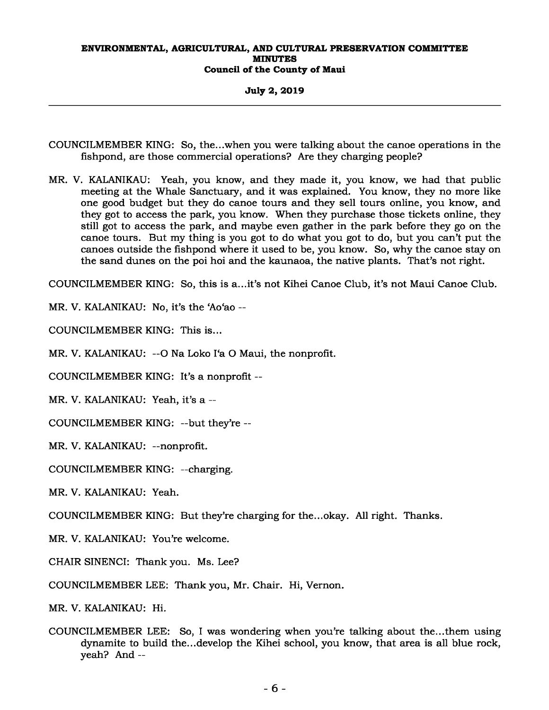**July 2, 2019** 

- COUNCILMEMBER KING: So, the...when you were talking about the canoe operations in the fishpond, are those commercial operations? Are they charging people?
- MR. V. KALANIKAU: Yeah, you know, and they made it, you know, we had that public meeting at the Whale Sanctuary, and it was explained. You know, they no more like one good budget but they do canoe tours and they sell tours online, you know, and they got to access the park, you know. When they purchase those tickets online, they still got to access the park, and maybe even gather in the park before they go on the canoe tours. But my thing is you got to do what you got to do, but you can't put the canoes outside the fishpond where it used to be, you know. So, why the canoe stay on the sand dunes on the poi hoi and the kaunaoa, the native plants. That's not right.

COUNCILMEMBER KING: So, this is a...it's not Kihei Canoe Club, it's not Maui Canoe Club.

MR. V. KALANIKAU: No, it's the 'Ao'ao --

COUNCILMEMBER KING: This is...

MR. V. KALANIKAU: --O Na Loko I'a O Maui, the nonprofit.

COUNCILMEMBER KING: It's a nonprofit --

MR. V. KALANIKAU: Yeah, it's a --

COUNCILMEMBER KING: --but they're --

MR. V. KALANIKAU: --nonprofit.

COUNCILMEMBER KING: --charging.

MR. V. KALANIKAU: Yeah.

COUNCILMEMBER KING: But they're charging for the...okay. All right. Thanks.

MR. V. KALANIKAU: You're welcome.

CHAIR SINENCI: Thank you. Ms. Lee?

COUNCILMEMBER LEE: Thank you, Mr. Chair. Hi, Vernon.

MR. V. KALANIKAU: Hi.

COUNCILMEMBER LEE: So, I was wondering when you're talking about the...them using dynamite to build the...develop the Kihei school, you know, that area is all blue rock, yeah? And --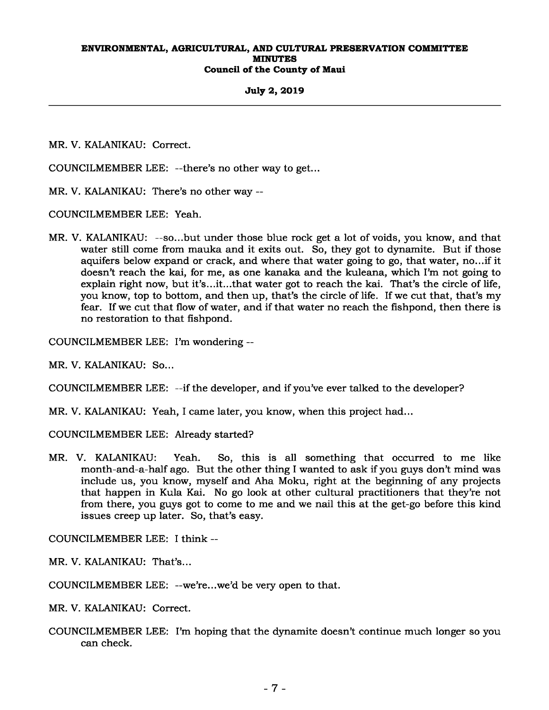### **July 2, 2019**

MR. V. KALANIKAU: Correct.

COUNCILMEMBER LEE: --there's no other way to get...

MR. V. KALANIKAU: There's no other way --

COUNCILMEMBER LEE: Yeah.

MR. V. KALANIKAU: --so...but under those blue rock get a lot of voids, you know, and that water still come from mauka and it exits out. So, they got to dynamite. But if those aquifers below expand or crack, and where that water going to go, that water, no...if it doesn't reach the kai, for me, as one kanaka and the kuleana, which I'm not going to explain right now, but it's...it...that water got to reach the kai. That's the circle of life, you know, top to bottom, and then up, that's the circle of life. If we cut that, that's my fear. If we cut that flow of water, and if that water no reach the fishpond, then there is no restoration to that fishpond.

COUNCILMEMBER LEE: I'm wondering --

MR. V. KALANIKAU: So...

COUNCILMEMBER LEE: --if the developer, and if you've ever talked to the developer?

MR. V. KALANIKAU: Yeah, I came later, you know, when this project had...

COUNCILMEMBER LEE: Already started?

MR. V. KALANIKAU: Yeah. So, this is all something that occurred to me like month-and-a-half ago. But the other thing I wanted to ask if you guys don't mind was include us, you know, myself and Aha Moku, right at the beginning of any projects that happen in Kula Kai. No go look at other cultural practitioners that they're not from there, you guys got to come to me and we nail this at the get-go before this kind issues creep up later. So, that's easy.

COUNCILMEMBER LEE: I think --

MR. V. KALANIKAU: That's...

COUNCILMEMBER LEE: --we're...we'd be very open to that.

MR. V. KALANIKAU: Correct.

COUNCILMEMBER LEE: I'm hoping that the dynamite doesn't continue much longer so you can check.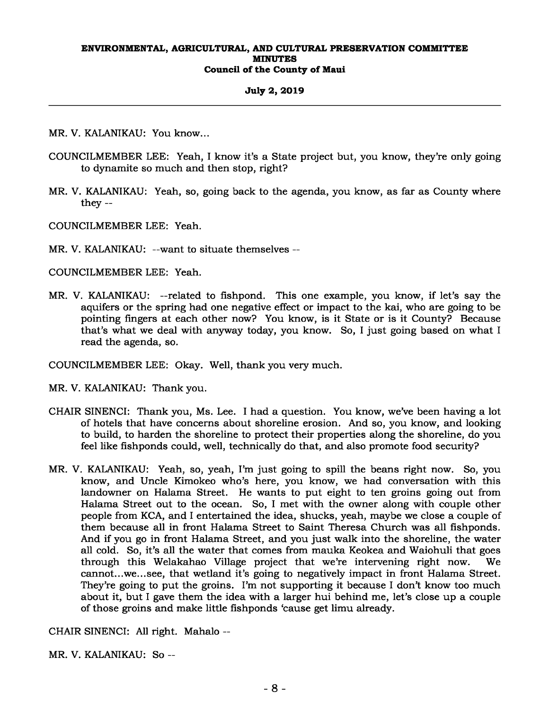## **July 2, 2019**

MR. V. KALANIKAU: You know...

- COUNCILMEMBER LEE: Yeah, I know it's a State project but, you know, they're only going to dynamite so much and then stop, right?
- MR. V. KALANIKAU: Yeah, so, going back to the agenda, you know, as far as County where they --

COUNCILMEMBER LEE: Yeah.

MR. V. KALANIKAU: --want to situate themselves --

COUNCILMEMBER LEE: Yeah.

MR. V. KALANIKAU: --related to fishpond. This one example, you know, if let's say the aquifers or the spring had one negative effect or impact to the kai, who are going to be pointing fingers at each other now? You know, is it State or is it County? Because that's what we deal with anyway today, you know. So, I just going based on what I read the agenda, so.

COUNCILMEMBER LEE: Okay. Well, thank you very much.

MR. V. KALANIKAU: Thank you.

- CHAIR SINENCI: Thank you, Ms. Lee. I had a question. You know, we've been having a lot of hotels that have concerns about shoreline erosion. And so, you know, and looking to build, to harden the shoreline to protect their properties along the shoreline, do you feel like fishponds could, well, technically do that, and also promote food security?
- MR. V. KALANIKAU: Yeah, so, yeah, I'm just going to spill the beans right now. So, you know, and Uncle Kimokeo who's here, you know, we had conversation with this landowner on Halama Street. He wants to put eight to ten groins going out from Halama Street out to the ocean. So, I met with the owner along with couple other people from KCA, and I entertained the idea, shucks, yeah, maybe we close a couple of them because all in front Halama Street to Saint Theresa Church was all fishponds. And if you go in front Halama Street, and you just walk into the shoreline, the water all cold. So, it's all the water that comes from mauka Keokea and Waiohuli that goes through this Welakahao Village project that we're intervening right now. cannot...we...see, that wetland it's going to negatively impact in front Halama Street. They're going to put the groins. I'm not supporting it because I don't know too much about it, but I gave them the idea with a larger hui behind me, let's close up a couple of those groins and make little fishponds 'cause get limu already.

CHAIR SINENCI: All right. Mahalo --

MR. V. KALANIKAU: So --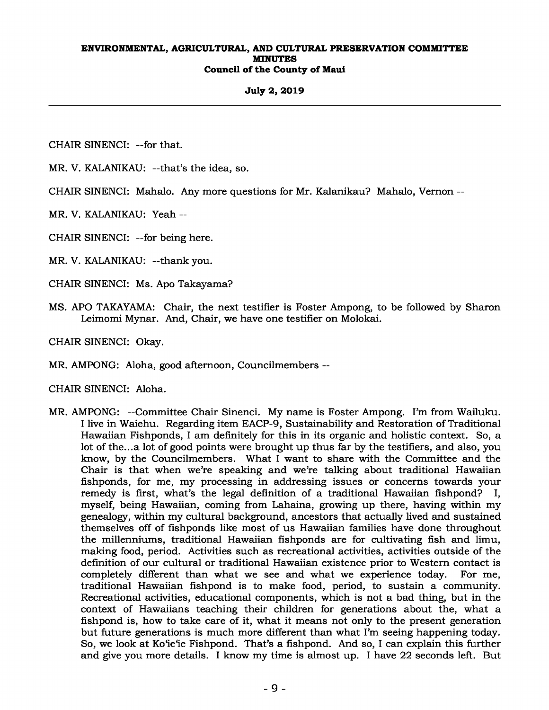## **July 2, 2019**

CHAIR SINENCI: --for that.

MR. V. KALANIKAU: --that's the idea, so.

CHAIR SINENCI: Mahalo. Any more questions for Mr. Kalanikau? Mahalo, Vernon --

MR. V. KALANIKAU: Yeah --

CHAIR SINENCI: --for being here.

MR. V. KALANIKAU: --thank you.

CHAIR SINENCI: Ms. Apo Takayama?

MS. APO TAKAYAMA: Chair, the next testifier is Foster Ampong, to be followed by Sharon Leimomi Mynar. And, Chair, we have one testifier on Molokai.

CHAIR SINENCI: Okay.

MR. AMPONG: Aloha, good afternoon, Councilmembers --

CHAIR SINENCI: Aloha.

MR. AMPONG: --Committee Chair Sinenci. My name is Foster Ampong. I'm from Wailuku. I live in Waiehu. Regarding item EACP-9, Sustainability and Restoration of Traditional Hawaiian Fishponds, I am definitely for this in its organic and holistic context. So, a lot of the...a lot of good points were brought up thus far by the testifiers, and also, you know, by the Councilmembers. What I want to share with the Committee and the Chair is that when we're speaking and we're talking about traditional Hawaiian fishponds, for me, my processing in addressing issues or concerns towards your remedy is first, what's the legal definition of a traditional Hawaiian fishpond? I, myself, being Hawaiian, coming from Lahaina, growing up there, having within my genealogy, within my cultural background, ancestors that actually lived and sustained themselves off of fishponds like most of us Hawaiian families have done throughout the millenniums, traditional Hawaiian fishponds are for cultivating fish and limu, making food, period. Activities such as recreational activities, activities outside of the definition of our cultural or traditional Hawaiian existence prior to Western contact is completely different than what we see and what we experience today. For me, traditional Hawaiian fishpond is to make food, period, to sustain a community. Recreational activities, educational components, which is not a bad thing, but in the context of Hawaiians teaching their children for generations about the, what a fishpond is, how to take care of it, what it means not only to the present generation but future generations is much more different than what I'm seeing happening today. So, we look at Ko'ie'ie Fishpond. That's a fishpond. And so, I can explain this further and give you more details. I know my time is almost up. I have 22 seconds left. But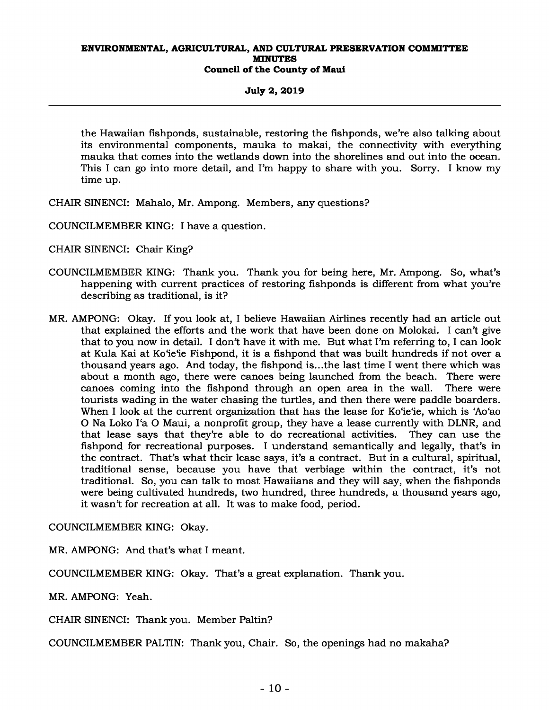## **July 2, 2019**

the Hawaiian fishponds, sustainable, restoring the fishponds, we're also talking about its environmental components, mauka to makai, the connectivity with everything mauka that comes into the wetlands down into the shorelines and out into the ocean. This I can go into more detail, and I'm happy to share with you. Sorry. I know my time up.

- CHAIR SINENCI: Mahalo, Mr. Ampong. Members, any questions?
- COUNCILMEMBER KING: I have a question.
- CHAIR SINENCI: Chair King?
- COUNCILMEMBER KING: Thank you. Thank you for being here, Mr. Ampong. So, what's happening with current practices of restoring fishponds is different from what you're describing as traditional, is it?
- MR. AMPONG: Okay. If you look at, I believe Hawaiian Airlines recently had an article out that explained the efforts and the work that have been done on Molokai. I can't give that to you now in detail. I don't have it with me. But what I'm referring to, I can look at Kula Kai at Ko'ie'ie Fishpond, it is a fishpond that was built hundreds if not over a thousand years ago. And today, the fishpond is...the last time I went there which was about a month ago, there were canoes being launched from the beach. There were canoes coming into the fishpond through an open area in the wall. There were tourists wading in the water chasing the turtles, and then there were paddle boarders. When I look at the current organization that has the lease for Ko'ie'ie, which is 'Ao'ao O Na Loko I'a O Maui, a nonprofit group, they have a lease currently with DLNR, and that lease says that they're able to do recreational activities. They can use the fishpond for recreational purposes. I understand semantically and legally, that's in the contract. That's what their lease says, it's a contract. But in a cultural, spiritual, traditional sense, because you have that verbiage within the contract, it's not traditional. So, you can talk to most Hawaiians and they will say, when the fishponds were being cultivated hundreds, two hundred, three hundreds, a thousand years ago, it wasn't for recreation at all. It was to make food, period.

COUNCILMEMBER KING: Okay.

MR. AMPONG: And that's what I meant.

COUNCILMEMBER KING: Okay. That's a great explanation. Thank you.

MR. AMPONG: Yeah.

CHAIR SINENCI: Thank you. Member Paltin?

COUNCILMEMBER PALTIN: Thank you, Chair. So, the openings had no makaha?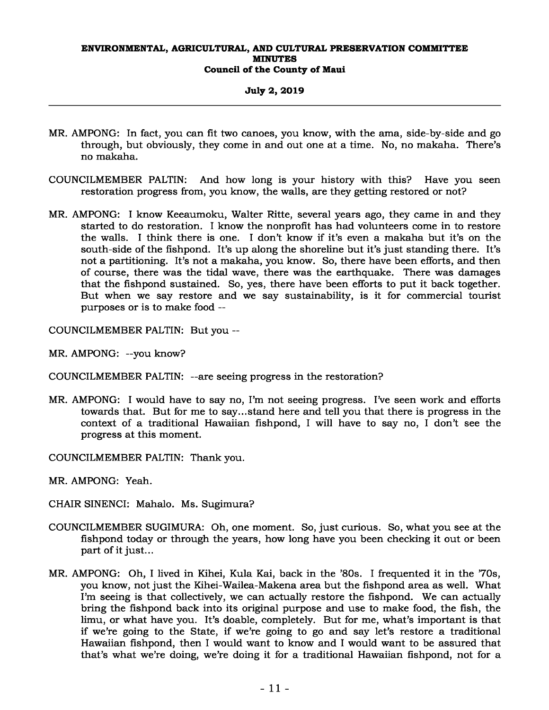## **July 2, 2019**

- MR. AMPONG: In fact, you can fit two canoes, you know, with the ama, side-by-side and go through, but obviously, they come in and out one at a time. No, no makaha. There's no makaha.
- COUNCILMEMBER PALTIN: And how long is your history with this? Have you seen restoration progress from, you know, the walls, are they getting restored or not?
- MR. AMPONG: I know Keeaumoku, Walter Ritte, several years ago, they came in and they started to do restoration. I know the nonprofit has had volunteers come in to restore the walls. I think there is one. I don't know if it's even a makaha but it's on the south-side of the fishpond. It's up along the shoreline but it's just standing there. It's not a partitioning. It's not a makaha, you know. So, there have been efforts, and then of course, there was the tidal wave, there was the earthquake. There was damages that the fishpond sustained. So, yes, there have been efforts to put it back together. But when we say restore and we say sustainability, is it for commercial tourist purposes or is to make food --

COUNCILMEMBER PALTIN: But you --

- MR. AMPONG: --you know?
- COUNCILMEMBER PALTIN: --are seeing progress in the restoration?
- MR. AMPONG: I would have to say no, I'm not seeing progress. I've seen work and efforts towards that. But for me to say...stand here and tell you that there is progress in the context of a traditional Hawaiian fishpond, I will have to say no, I don't see the progress at this moment.

COUNCILMEMBER PALTIN: Thank you.

MR. AMPONG: Yeah.

CHAIR SINENCI: Mahalo. Ms. Sugimura?

- COUNCILMEMBER SUGIMURA: Oh, one moment. So, just curious. So, what you see at the fishpond today or through the years, how long have you been checking it out or been part of it just...
- MR. AMPONG: Oh, I lived in Kihei, Kula Kai, back in the '80s. I frequented it in the '70s, you know, not just the Kihei-Wailea-Makena area but the fishpond area as well. What I'm seeing is that collectively, we can actually restore the fishpond. We can actually bring the fishpond back into its original purpose and use to make food, the fish, the limu, or what have you. It's doable, completely. But for me, what's important is that if we're going to the State, if we're going to go and say let's restore a traditional Hawaiian fishpond, then I would want to know and I would want to be assured that that's what we're doing, we're doing it for a traditional Hawaiian fishpond, not for a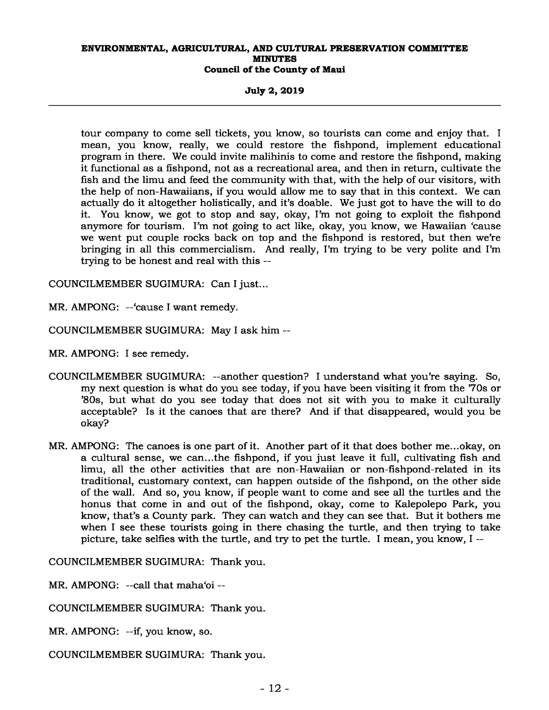**July 2, 2019** 

tour company to come sell tickets, you know, so tourists can come and enjoy that. I mean, you know, really, we could restore the fishpond, implement educational program in there. We could invite malihinis to come and restore the fishpond, making it functional as a fishpond, not as a recreational area, and then in return, cultivate the fish and the limu and feed the community with that, with the help of our visitors, with the help of non-Hawaiians, if you would allow me to say that in this context. We can actually do it altogether holistically, and it's doable. We just got to have the will to do it. You know, we got to stop and say, okay, I'm not going to exploit the fishpond anymore for tourism. I'm not going to act like, okay, you know, we Hawaiian 'cause we went put couple rocks back on top and the fishpond is restored, but then we're bringing in all this commercialism. And really, I'm trying to be very polite and I'm trying to be honest and real with this --

COUNCILMEMBER SUGIMURA: Can I just...

MR. AMPONG: --'cause I want remedy.

COUNCILMEMBER SUGIMURA: May I ask him --

MR. AMPONG: I see remedy.

- COUNCILMEMBER SUGIMURA: --another question? I understand what you're saying. So, my next question is what do you see today, if you have been visiting it from the '70s or '80s, but what do you see today that does not sit with you to make it culturally acceptable? Is it the canoes that are there? And if that disappeared, would you be okay?
- MR. AMPONG: The canoes is one part of it. Another part of it that does bother me...okay, on a cultural sense, we can...the fishpond, if you just leave it full, cultivating fish and limu, all the other activities that are non-Hawaiian or non-fishpond-related in its traditional, customary context, can happen outside of the fishpond, on the other side of the wall. And so, you know, if people want to come and see all the turtles and the honus that come in and out of the fishpond, okay, come to Kalepolepo Park, you know, that's a County park. They can watch and they can see that. But it bothers me when I see these tourists going in there chasing the turtle, and then trying to take picture, take selfies with the turtle, and try to pet the turtle. I mean, you know, I --

COUNCILMEMBER SUGIMURA: Thank you.

MR. AMPONG: --call that maha'oi --

COUNCILMEMBER SUGIMURA: Thank you.

MR. AMPONG: --if, you know, so.

COUNCILMEMBER SUGIMURA: Thank you.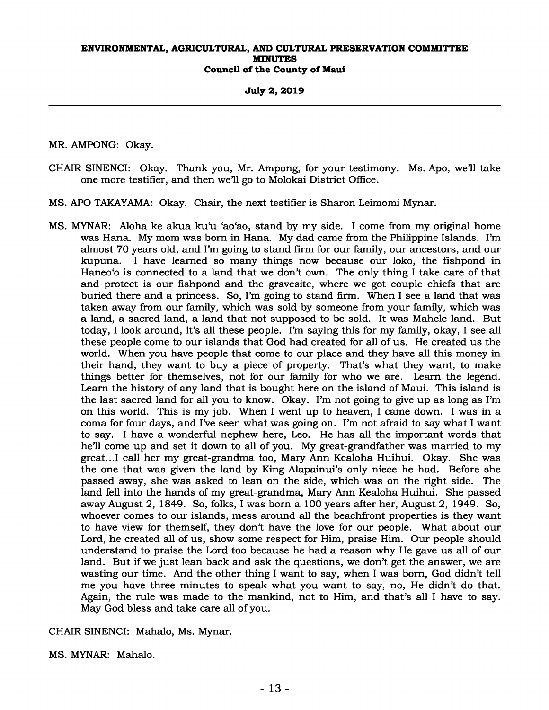## **July 2, 2019**

## MR. AMPONG: Okay.

- CHAIR SINENCI: Okay. Thank you, Mr. Ampong, for your testimony. Ms. Apo, we'll take one more testifier, and then we'll go to Molokai District Office.
- MS. APO TAKAYAMA: Okay. Chair, the next testifier is Sharon Leimomi Mynar.
- MS. MYNAR: Aloha ke akua ku'u 'ao'ao, stand by my side. I come from my original home was Hana. My mom was born in Hana. My dad came from the Philippine Islands. I'm almost 70 years old, and I'm going to stand firm for our family, our ancestors, and our kupuna. I have learned so many things now because our loko, the fishpond in Haneo'o is connected to a land that we don't own. The only thing I take care of that and protect is our fishpond and the gravesite, where we got couple chiefs that are buried there and a princess. So, I'm going to stand firm. When I see a land that was taken away from our family, which was sold by someone from your family, which was a land, a sacred land, a land that not supposed to be sold. It was Mahele land. But today, I look around, it's all these people. I'm saying this for my family, okay, I see all these people come to our islands that God had created for all of us. He created us the world. When you have people that come to our place and they have all this money in their hand, they want to buy a piece of property. That's what they want, to make things better for themselves, not for our family for who we are. Learn the legend. Learn the history of any land that is bought here on the island of Maui. This island is the last sacred land for all you to know. Okay. I'm not going to give up as long as I'm on this world. This is my job. When I went up to heaven, I came down. I was in a coma for four days, and I've seen what was going on. I'm not afraid to say what I want to say. I have a wonderful nephew here, Leo. He has all the important words that he'll come up and set it down to all of you. My great-grandfather was married to my great...I call her my great-grandma too, Mary Ann Kealoha Huihui. Okay. She was the one that was given the land by King Alapainui's only niece he had. Before she passed away, she was asked to lean on the side, which was on the right side. The land fell into the hands of my great-grandma, Mary Ann Kealoha Huihui. She passed away August 2, 1849. So, folks, I was born a 100 years after her, August 2, 1949. So, whoever comes to our islands, mess around all the beachfront properties is they want to have view for themself, they don't have the love for our people. What about our Lord, he created all of us, show some respect for Him, praise Him. Our people should understand to praise the Lord too because he had a reason why He gave us all of our land. But if we just lean back and ask the questions, we don't get the answer, we are wasting our time. And the other thing I want to say, when I was born, God didn't tell me you have three minutes to speak what you want to say, no, He didn't do that. Again, the rule was made to the mankind, not to Him, and that's all I have to say. May God bless and take care all of you.

CHAIR SINENCI: Mahalo, Ms. Mynar.

MS. MYNAR: Mahalo.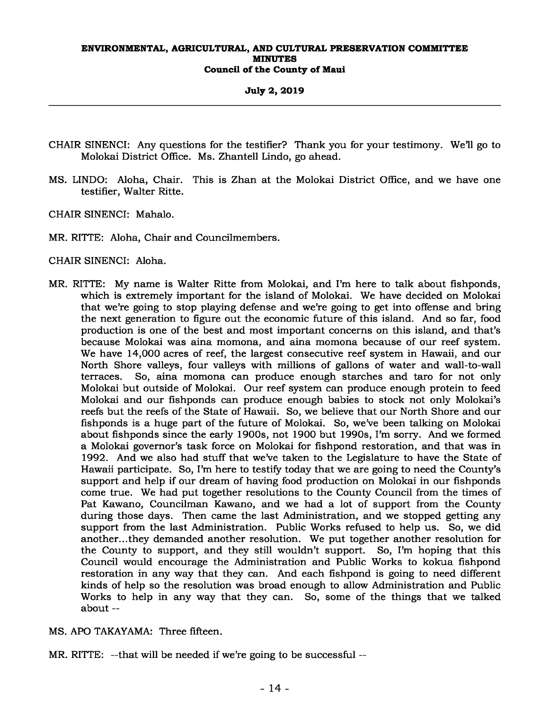**July 2, 2019** 

- CHAIR SINENCI: Any questions for the testifier? Thank you for your testimony. We'll go to Molokai District Office. Ms. Zhantell Lindo, go ahead.
- MS. LINDO: Aloha, Chair. This is Zhan at the Molokai District Office, and we have one testifier, Walter Ritte.
- CHAIR SINENCI: Mahalo.
- MR. RITTE: Aloha, Chair and Councilmembers.
- CHAIR SINENCI: Aloha.
- MR. RITTE: My name is Walter Ritte from Molokai, and I'm here to talk about fishponds, which is extremely important for the island of Molokai. We have decided on Molokai that we're going to stop playing defense and we're going to get into offense and bring the next generation to figure out the economic future of this island. And so far, food production is one of the best and most important concerns on this island, and that's because Molokai was aina momona, and aina momona because of our reef system. We have 14,000 acres of reef, the largest consecutive reef system in Hawaii, and our North Shore valleys, four valleys with millions of gallons of water and wall-to-wall terraces. So, aina momona can produce enough starches and taro for not only Molokai but outside of Molokai. Our reef system can produce enough protein to feed Molokai and our fishponds can produce enough babies to stock not only Molokai's reefs but the reefs of the State of Hawaii. So, we believe that our North Shore and our fishponds is a huge part of the future of Molokai. So, we've been talking on Molokai about fishponds since the early 1900s, not 1900 but 1990s, I'm sorry. And we formed a Molokai governor's task force on Molokai for fishpond restoration, and that was in 1992. And we also had stuff that we've taken to the Legislature to have the State of Hawaii participate. So, I'm here to testify today that we are going to need the County's support and help if our dream of having food production on Molokai in our fishponds come true. We had put together resolutions to the County Council from the times of Pat Kawano, Councilman Kawano, and we had a lot of support from the County during those days. Then came the last Administration, and we stopped getting any support from the last Administration. Public Works refused to help us. So, we did another...they demanded another resolution. We put together another resolution for the County to support, and they still wouldn't support. So, I'm hoping that this Council would encourage the Administration and Public Works to kokua fishpond restoration in any way that they can. And each fishpond is going to need different kinds of help so the resolution was broad enough to allow Administration and Public Works to help in any way that they can. So, some of the things that we talked about --
- MS. APO TAKAYAMA: Three fifteen.
- MR. RITTE: --that will be needed if we're going to be successful --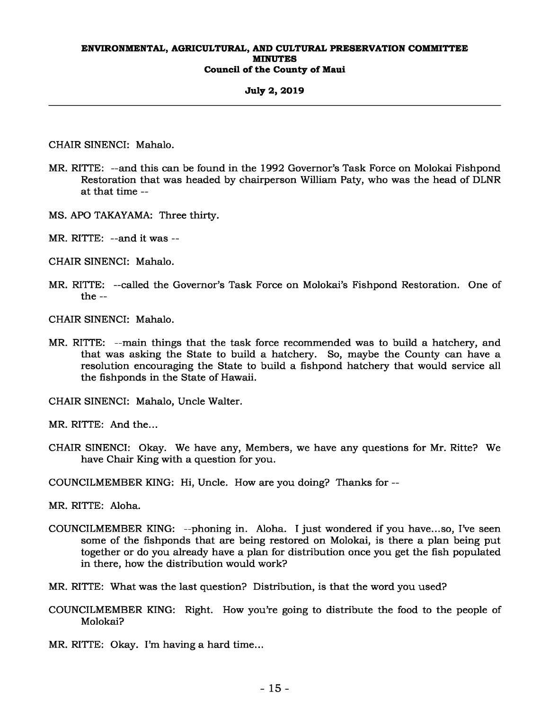#### **July 2, 2019**

CHAIR SINENCI: Mahalo.

- MR. RITTE: --and this can be found in the 1992 Governor's Task Force on Molokai Fishpond Restoration that was headed by chairperson William Paty, who was the head of DLNR at that time --
- MS. APO TAKAYAMA: Three thirty.
- MR. RITTE: --and it was --
- CHAIR SINENCI: Mahalo.
- MR. RITTE: --called the Governor's Task Force on Molokai's Fishpond Restoration. One of the --
- CHAIR SINENCI: Mahalo.
- MR. RITTE: --main things that the task force recommended was to build a hatchery, and that was asking the State to build a hatchery. So, maybe the County can have a resolution encouraging the State to build a fishpond hatchery that would service all the fishponds in the State of Hawaii.

CHAIR SINENCI: Mahalo, Uncle Walter.

MR. RITTE: And the...

CHAIR SINENCI: Okay. We have any, Members, we have any questions for Mr. Ritte? We have Chair King with a question for you.

COUNCILMEMBER KING: Hi, Uncle. How are you doing? Thanks for --

MR. RITTE: Aloha.

- COUNCILMEMBER KING: --phoning in. Aloha. I just wondered if you have...so, I've seen some of the fishponds that are being restored on Molokai, is there a plan being put together or do you already have a plan for distribution once you get the fish populated in there, how the distribution would work?
- MR. RITTE: What was the last question? Distribution, is that the word you used?
- COUNCILMEMBER KING: Right. How you're going to distribute the food to the people of Molokai?
- MR. RITTE: Okay. I'm having a hard time...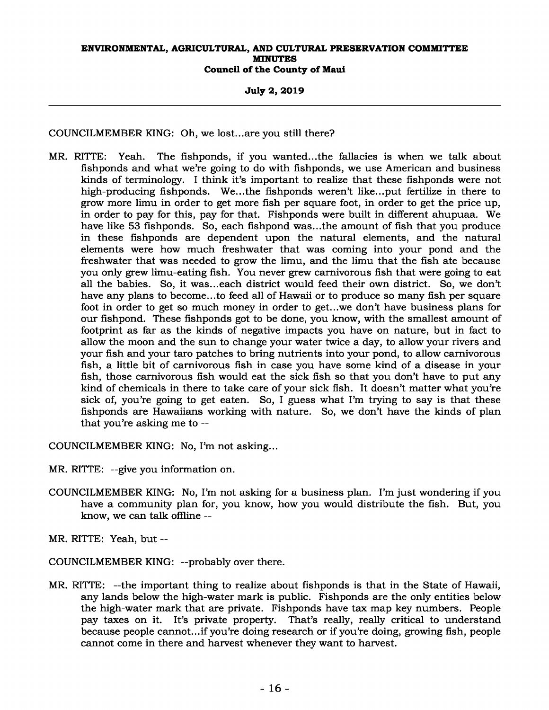## **July 2, 2019**

COUNCILMEMBER KING: Oh, we lost...are you still there?

MR. RITTE: Yeah. The fishponds, if you wanted...the fallacies is when we talk about fishponds and what we're going to do with fishponds, we use American and business kinds of terminology. I think it's important to realize that these fishponds were not high-producing fishponds. We...the fishponds weren't like...put fertilize in there to grow more limu in order to get more fish per square foot, in order to get the price up, in order to pay for this, pay for that. Fishponds were built in different ahupuaa. We have like 53 fishponds. So, each fishpond was...the amount of fish that you produce in these fishponds are dependent upon the natural elements, and the natural elements were how much freshwater that was coming into your pond and the freshwater that was needed to grow the limu, and the limu that the fish ate because you only grew limu-eating fish. You never grew carnivorous fish that were going to eat all the babies. So, it was...each district would feed their own district. So, we don't have any plans to become...to feed all of Hawaii or to produce so many fish per square foot in order to get so much money in order to get...we don't have business plans for our fishpond. These fishponds got to be done, you know, with the smallest amount of footprint as far as the kinds of negative impacts you have on nature, but in fact to allow the moon and the sun to change your water twice a day, to allow your rivers and your fish and your taro patches to bring nutrients into your pond, to allow carnivorous fish, a little bit of carnivorous fish in case you have some kind of a disease in your fish, those carnivorous fish would eat the sick fish so that you don't have to put any kind of chemicals in there to take care of your sick fish. It doesn't matter what you're sick of, you're going to get eaten. So, I guess what I'm trying to say is that these fishponds are Hawaiians working with nature. So, we don't have the kinds of plan that you're asking me to --

COUNCILMEMBER KING: No, I'm not asking...

- MR. RITTE: --give you information on.
- COUNCILMEMBER KING: No, I'm not asking for a business plan. I'm just wondering if you have a community plan for, you know, how you would distribute the fish. But, you know, we can talk offline --

MR. RITTE: Yeah, but --

COUNCILMEMBER KING: --probably over there.

MR. RITTE: --the important thing to realize about fishponds is that in the State of Hawaii, any lands below the high-water mark is public. Fishponds are the only entities below the high-water mark that are private. Fishponds have tax map key numbers. People pay taxes on it. It's private property. That's really, really critical to understand because people cannot...if you're doing research or if you're doing, growing fish, people cannot come in there and harvest whenever they want to harvest.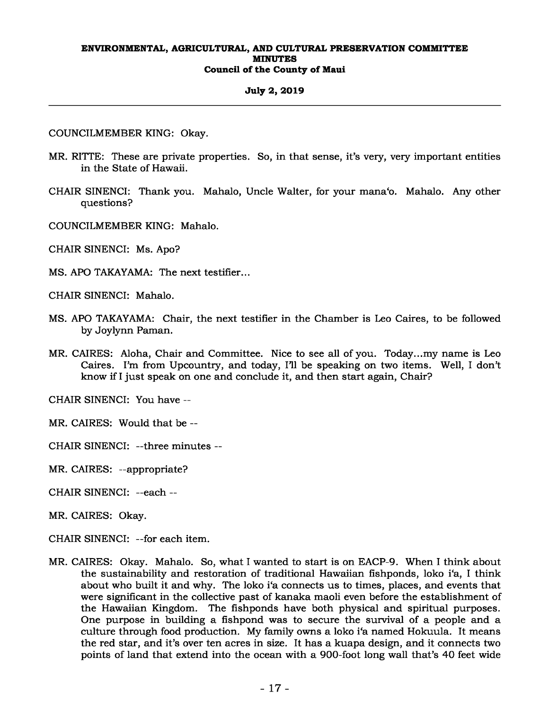## **July 2, 2019**

COUNCILMEMBER KING: Okay.

- MR. RITTE: These are private properties. So, in that sense, it's very, very important entities in the State of Hawaii.
- CHAIR SINENCI: Thank you. Mahalo, Uncle Walter, for your mana'o. Mahalo. Any other questions?
- COUNCILMEMBER KING: Mahalo.

CHAIR SINENCI: Ms. Apo?

MS. APO TAKAYAMA: The next testifier...

CHAIR SINENCI: Mahalo.

- MS. APO TAKAYAMA: Chair, the next testifier in the Chamber is Leo Caires, to be followed by Joylynn Paman.
- MR. CAIRES: Aloha, Chair and Committee. Nice to see all of you. Today...my name is Leo Caires. I'm from Upcountry, and today, I'll be speaking on two items. Well, I don't know if I just speak on one and conclude it, and then start again, Chair?

CHAIR SINENCI: You have --

- MR. CAIRES: Would that be --
- CHAIR SINENCI: --three minutes --
- MR. CAIRES: --appropriate?
- CHAIR SINENCI: --each --
- MR. CAIRES: Okay.
- CHAIR SINENCI: --for each item.
- MR. CAIRES: Okay. Mahalo. So, what I wanted to start is on EACP-9. When I think about the sustainability and restoration of traditional Hawaiian fishponds, loko i'a, I think about who built it and why. The loko i'a connects us to times, places, and events that were significant in the collective past of kanaka maoli even before the establishment of the Hawaiian Kingdom. The fishponds have both physical and spiritual purposes. One purpose in building a fishpond was to secure the survival of a people and a culture through food production. My family owns a loko i'a named Hokuula. It means the red star, and it's over ten acres in size. It has a kuapa design, and it connects two points of land that extend into the ocean with a 900-foot long wall that's 40 feet wide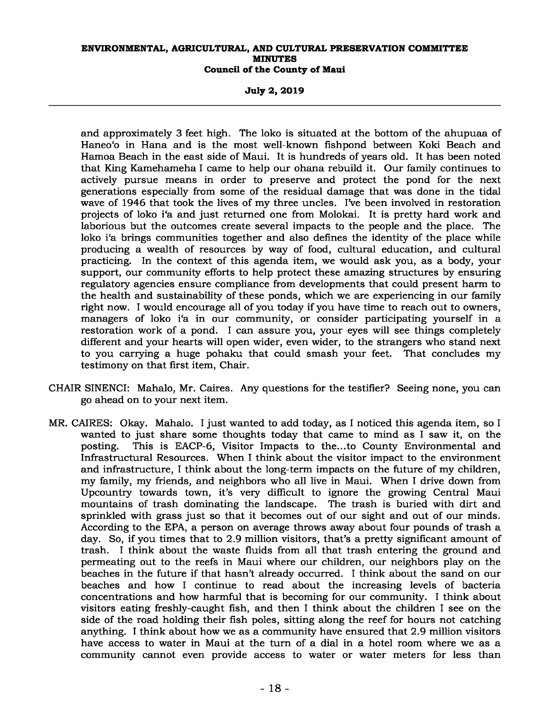**July 2, 2019** 

and approximately 3 feet high. The loko is situated at the bottom of the ahupuaa of Haneo'o in Hana and is the most well-known fishpond between Koki Beach and Hamoa Beach in the east side of Maui. It is hundreds of years old. It has been noted that King Kamehameha I came to help our ohana rebuild it. Our family continues to actively pursue means in order to preserve and protect the pond for the next generations especially from some of the residual damage that was done in the tidal wave of 1946 that took the lives of my three uncles. I've been involved in restoration projects of loko i'a and just returned one from Molokai. It is pretty hard work and laborious but the outcomes create several impacts to the people and the place. The loko i'a brings communities together and also defines the identity of the place while producing a wealth of resources by way of food, cultural education, and cultural practicing. In the context of this agenda item, we would ask you, as a body, your support, our community efforts to help protect these amazing structures by ensuring regulatory agencies ensure compliance from developments that could present harm to the health and sustainability of these ponds, which we are experiencing in our family right now. I would encourage all of you today if you have time to reach out to owners, managers of loko i'a in our community, or consider participating yourself in a restoration work of a pond. I can assure you, your eyes will see things completely different and your hearts will open wider, even wider, to the strangers who stand next to you carrying a huge pohaku that could smash your feet. That concludes my testimony on that first item, Chair.

- CHAIR SINENCI: Mahalo, Mr. Caires. Any questions for the testifier? Seeing none, you can go ahead on to your next item.
- MR. CAIRES: Okay. Mahalo. I just wanted to add today, as I noticed this agenda item, so I wanted to just share some thoughts today that came to mind as I saw it, on the posting. This is EACP-6, Visitor Impacts to the...to County Environmental and Infrastructural Resources. When I think about the visitor impact to the environment and infrastructure, I think about the long-term impacts on the future of my children, my family, my friends, and neighbors who all live in Maui. When I drive down from Upcountry towards town, it's very difficult to ignore the growing Central Maui mountains of trash dominating the landscape. The trash is buried with dirt and sprinkled with grass just so that it becomes out of our sight and out of our minds. According to the EPA, a person on average throws away about four pounds of trash a day. So, if you times that to 2.9 million visitors, that's a pretty significant amount of trash. I think about the waste fluids from all that trash entering the ground and permeating out to the reefs in Maui where our children, our neighbors play on the beaches in the future if that hasn't already occurred. I think about the sand on our beaches and how I continue to read about the increasing levels of bacteria concentrations and how harmful that is becoming for our community. I think about visitors eating freshly-caught fish, and then I think about the children I see on the side of the road holding their fish poles, sitting along the reef for hours not catching anything. I think about how we as a community have ensured that 2.9 million visitors have access to water in Maui at the turn of a dial in a hotel room where we as a community cannot even provide access to water or water meters for less than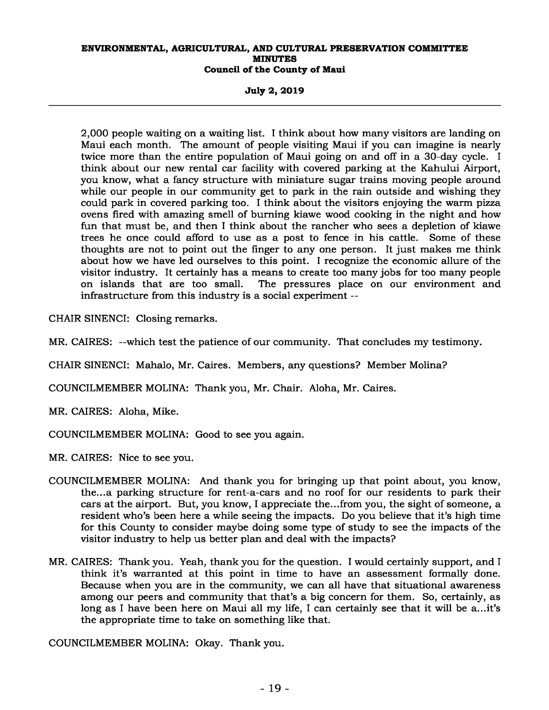**July 2, 2019** 

2,000 people waiting on a waiting list. I think about how many visitors are landing on Maui each month. The amount of people visiting Maui if you can imagine is nearly twice more than the entire population of Maui going on and off in a 30-day cycle. I think about our new rental car facility with covered parking at the Kahului Airport, you know, what a fancy structure with miniature sugar trains moving people around while our people in our community get to park in the rain outside and wishing they could park in covered parking too. I think about the visitors enjoying the warm pizza ovens fired with amazing smell of burning kiawe wood cooking in the night and how fun that must be, and then I think about the rancher who sees a depletion of kiawe trees he once could afford to use as a post to fence in his cattle. Some of these thoughts are not to point out the finger to any one person. It just makes me think about how we have led ourselves to this point. I recognize the economic allure of the visitor industry. It certainly has a means to create too many jobs for too many people on islands that are too small. The pressures place on our environment and infrastructure from this industry is a social experiment --

CHAIR SINENCI: Closing remarks.

MR. CAIRES: --which test the patience of our community. That concludes my testimony.

CHAIR SINENCI: Mahalo, Mr. Caires. Members, any questions? Member Molina?

COUNCILMEMBER MOLINA: Thank you, Mr. Chair. Aloha, Mr. Caires.

MR. CAIRES: Aloha, Mike.

COUNCILMEMBER MOLINA: Good to see you again.

MR. CAIRES: Nice to see you.

- COUNCILMEMBER MOLINA: And thank you for bringing up that point about, you know, the...a parking structure for rent-a-cars and no roof for our residents to park their cars at the airport. But, you know, I appreciate the...from you, the sight of someone, a resident who's been here a while seeing the impacts. Do you believe that it's high time for this County to consider maybe doing some type of study to see the impacts of the visitor industry to help us better plan and deal with the impacts?
- MR. CAIRES: Thank you. Yeah, thank you for the question. I would certainly support, and I think it's warranted at this point in time to have an assessment formally done. Because when you are in the community, we can all have that situational awareness among our peers and community that that's a big concern for them. So, certainly, as long as I have been here on Maui all my life, I can certainly see that it will be a...it's the appropriate time to take on something like that.

COUNCILMEMBER MOLINA: Okay. Thank you.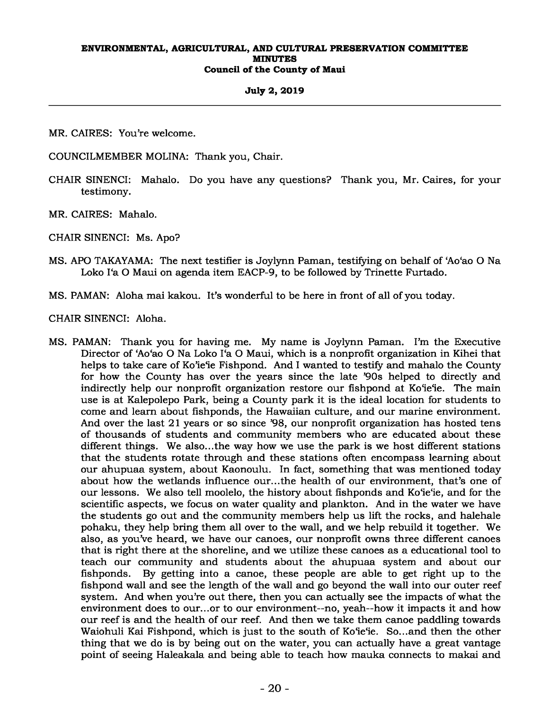## **July 2, 2019**

MR. CAIRES: You're welcome.

COUNCILMEMBER MOLINA: Thank you, Chair.

CHAIR SINENCI: Mahalo. Do you have any questions? Thank you, Mr. Caires, for your testimony.

MR. CAIRES: Mahalo.

CHAIR SINENCI: Ms. Apo?

MS. APO TAKAYAMA: The next testifier is Joylynn Paman, testifying on behalf of 'Ao'ao O Na Loko I'a O Maui on agenda item EACP-9, to be followed by Trinette Furtado.

MS. PAMAN: Aloha mai kakou. It's wonderful to be here in front of all of you today.

CHAIR SINENCI: Aloha.

MS. PAMAN: Thank you for having me. My name is Joylynn Paman. I'm the Executive Director of 'Ao'ao O Na Loko I'a O Maui, which is a nonprofit organization in Kihei that helps to take care of Ko'ie'ie Fishpond. And I wanted to testify and mahalo the County for how the County has over the years since the late '90s helped to directly and indirectly help our nonprofit organization restore our fishpond at Ko'ie'ie. The main use is at Kalepolepo Park, being a County park it is the ideal location for students to come and learn about fishponds, the Hawaiian culture, and our marine environment. And over the last 21 years or so since '98, our nonprofit organization has hosted tens of thousands of students and community members who are educated about these different things. We also...the way how we use the park is we host different stations that the students rotate through and these stations often encompass learning about our ahupuaa system, about Kaonoulu. In fact, something that was mentioned today about how the wetlands influence our...the health of our environment, that's one of our lessons. We also tell moolelo, the history about fishponds and Ko'ie'ie, and for the scientific aspects, we focus on water quality and plankton. And in the water we have the students go out and the community members help us lift the rocks, and halehale pohaku, they help bring them all over to the wall, and we help rebuild it together. We also, as you've heard, we have our canoes, our nonprofit owns three different canoes that is right there at the shoreline, and we utilize these canoes as a educational tool to teach our community and students about the ahupuaa system and about our fishponds. By getting into a canoe, these people are able to get right up to the fishpond wall and see the length of the wall and go beyond the wall into our outer reef system. And when you're out there, then you can actually see the impacts of what the environment does to our...or to our environment--no, yeah--how it impacts it and how our reef is and the health of our reef. And then we take them canoe paddling towards Waiohuli Kai Fishpond, which is just to the south of Ko'ie'ie. So...and then the other thing that we do is by being out on the water, you can actually have a great vantage point of seeing Haleakala and being able to teach how mauka connects to makai and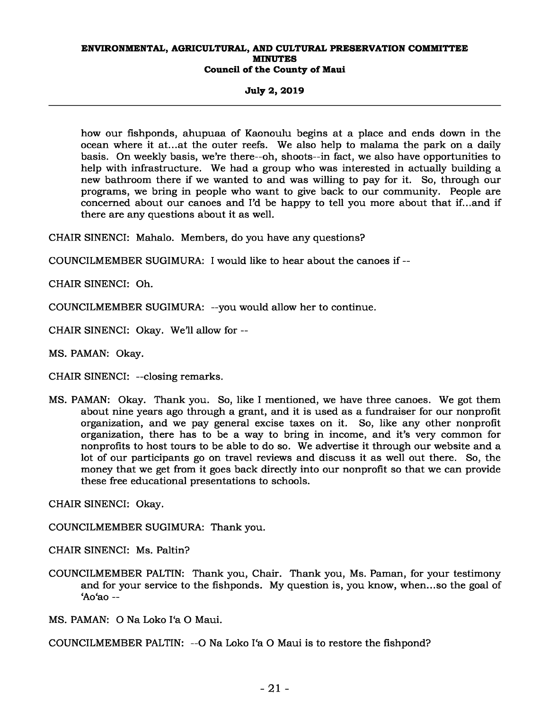**July 2, 2019** 

how our fishponds, ahupuaa of Kaonoulu begins at a place and ends down in the ocean where it at...at the outer reefs. We also help to malama the park on a daily basis. On weekly basis, we're there--oh, shoots--in fact, we also have opportunities to help with infrastructure. We had a group who was interested in actually building a new bathroom there if we wanted to and was willing to pay for it. So, through our programs, we bring in people who want to give back to our community. People are concerned about our canoes and I'd be happy to tell you more about that if...and if there are any questions about it as well.

CHAIR SINENCI: Mahalo. Members, do you have any questions?

COUNCILMEMBER SUGIMURA: I would like to hear about the canoes if --

CHAIR SINENCI: Oh.

COUNCILMEMBER SUGIMURA: --you would allow her to continue.

CHAIR SINENCI: Okay. We'll allow for --

MS. PAMAN: Okay.

CHAIR SINENCI: --closing remarks.

MS. PAMAN: Okay. Thank you. So, like I mentioned, we have three canoes. We got them about nine years ago through a grant, and it is used as a fundraiser for our nonprofit organization, and we pay general excise taxes on it. So, like any other nonprofit organization, there has to be a way to bring in income, and it's very common for nonprofits to host tours to be able to do so. We advertise it through our website and a lot of our participants go on travel reviews and discuss it as well out there. So, the money that we get from it goes back directly into our nonprofit so that we can provide these free educational presentations to schools.

CHAIR SINENCI: Okay.

COUNCILMEMBER SUGIMURA: Thank you.

CHAIR SINENCI: Ms. Paltin?

COUNCILMEMBER PALTIN: Thank you, Chair. Thank you, Ms. Paman, for your testimony and for your service to the fishponds. My question is, you know, when...so the goal of 'Ao'ao --

MS. PAMAN: O Na Loko I'a O Maui.

COUNCILMEMBER PALTIN: --O Na Loko I'a O Maui is to restore the fishpond?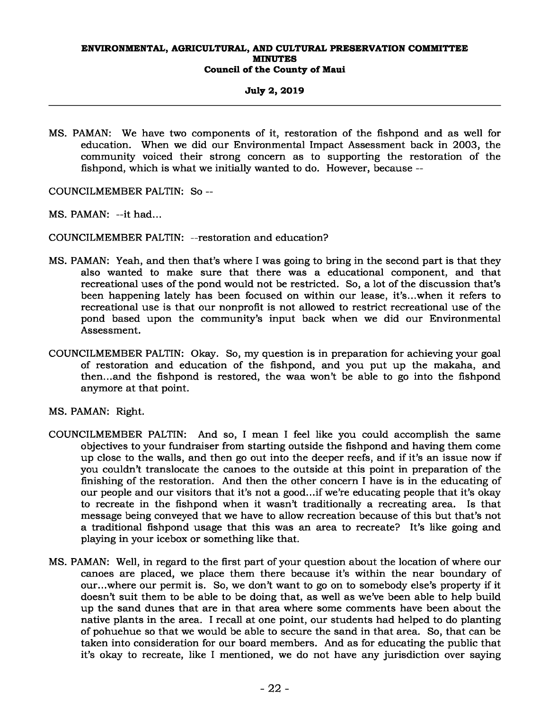## **July 2, 2019**

MS. PAMAN: We have two components of it, restoration of the fishpond and as well for education. When we did our Environmental Impact Assessment back in 2003, the community voiced their strong concern as to supporting the restoration of the fishpond, which is what we initially wanted to do. However, because --

COUNCILMEMBER PALTIN: So --

MS. PAMAN: --it had...

COUNCILMEMBER PALTIN: --restoration and education?

- MS. PAMAN: Yeah, and then that's where I was going to bring in the second part is that they also wanted to make sure that there was a educational component, and that recreational uses of the pond would not be restricted. So, a lot of the discussion that's been happening lately has been focused on within our lease, it's...when it refers to recreational use is that our nonprofit is not allowed to restrict recreational use of the pond based upon the community's input back when we did our Environmental Assessment.
- COUNCILMEMBER PALTIN: Okay. So, my question is in preparation for achieving your goal of restoration and education of the fishpond, and you put up the makaha, and then...and the fishpond is restored, the waa won't be able to go into the fishpond anymore at that point.
- MS. PAMAN: Right.
- COUNCILMEMBER PALTIN: And so, I mean I feel like you could accomplish the same objectives to your fundraiser from starting outside the fishpond and having them come up close to the walls, and then go out into the deeper reefs, and if it's an issue now if you couldn't translocate the canoes to the outside at this point in preparation of the finishing of the restoration. And then the other concern I have is in the educating of our people and our visitors that it's not a good...if we're educating people that it's okay to recreate in the fishpond when it wasn't traditionally a recreating area. Is that message being conveyed that we have to allow recreation because of this but that's not a traditional fishpond usage that this was an area to recreate? It's like going and playing in your icebox or something like that.
- MS. PAMAN: Well, in regard to the first part of your question about the location of where our canoes are placed, we place them there because it's within the near boundary of our...where our permit is. So, we don't want to go on to somebody else's property if it doesn't suit them to be able to be doing that, as well as we've been able to help build up the sand dunes that are in that area where some comments have been about the native plants in the area. I recall at one point, our students had helped to do planting of pohuehue so that we would be able to secure the sand in that area. So, that can be taken into consideration for our board members. And as for educating the public that it's okay to recreate, like I mentioned, we do not have any jurisdiction over saying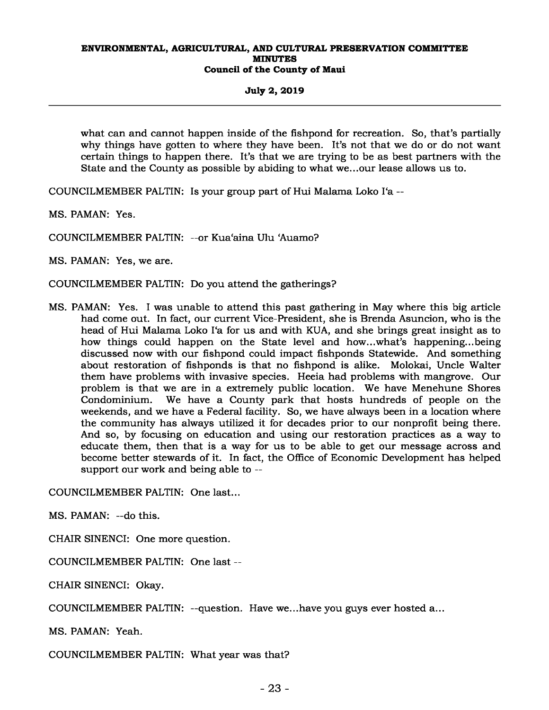**July 2, 2019** 

what can and cannot happen inside of the fishpond for recreation. So, that's partially why things have gotten to where they have been. It's not that we do or do not want certain things to happen there. It's that we are trying to be as best partners with the State and the County as possible by abiding to what we...our lease allows us to.

COUNCILMEMBER PALTIN: Is your group part of Hui Malama Loko I'a --

MS. PAMAN: Yes.

COUNCILMEMBER PALTIN: --or Kua'aina Ulu 'Auamo?

MS. PAMAN: Yes, we are.

COUNCILMEMBER PALTIN: Do you attend the gatherings?

MS. PAMAN: Yes. I was unable to attend this past gathering in May where this big article had come out. In fact, our current Vice-President, she is Brenda Asuncion, who is the head of Hui Malama Loko I'a for us and with KUA, and she brings great insight as to how things could happen on the State level and how...what's happening...being discussed now with our fishpond could impact fishponds Statewide. And something about restoration of fishponds is that no fishpond is alike. Molokai, Uncle Walter them have problems with invasive species. Heeia had problems with mangrove. Our problem is that we are in a extremely public location. We have Menehune Shores Condominium. We have a County park that hosts hundreds of people on the weekends, and we have a Federal facility. So, we have always been in a location where the community has always utilized it for decades prior to our nonprofit being there. And so, by focusing on education and using our restoration practices as a way to educate them, then that is a way for us to be able to get our message across and become better stewards of it. In fact, the Office of Economic Development has helped support our work and being able to --

COUNCILMEMBER PALTIN: One last...

MS. PAMAN: --do this.

CHAIR SINENCI: One more question.

COUNCILMEMBER PALTIN: One last --

CHAIR SINENCI: Okay.

COUNCILMEMBER PALTIN: --question. Have we...have you guys ever hosted a...

MS. PAMAN: Yeah.

COUNCILMEMBER PALTIN: What year was that?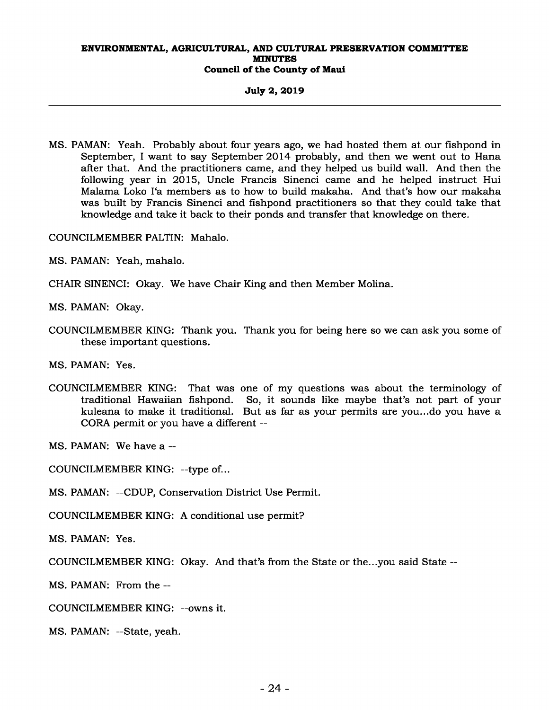**July 2, 2019** 

MS. PAMAN: Yeah. Probably about four years ago, we had hosted them at our fishpond in September, I want to say September 2014 probably, and then we went out to Hana after that. And the practitioners came, and they helped us build wall. And then the following year in 2015, Uncle Francis Sinenci came and he helped instruct Hui Malama Loko I'a members as to how to build makaha. And that's how our makaha was built by Francis Sinenci and fishpond practitioners so that they could take that knowledge and take it back to their ponds and transfer that knowledge on there.

COUNCILMEMBER PALTIN: Mahalo.

MS. PAMAN: Yeah, mahalo.

CHAIR SINENCI: Okay. We have Chair King and then Member Molina.

MS. PAMAN: Okay.

COUNCILMEMBER KING: Thank you. Thank you for being here so we can ask you some of these important questions.

MS. PAMAN: Yes.

COUNCILMEMBER KING: That was one of my questions was about the terminology of traditional Hawaiian fishpond. So, it sounds like maybe that's not part of your kuleana to make it traditional. But as far as your permits are you...do you have a CORA permit or you have a different --

MS. PAMAN: We have a --

COUNCILMEMBER KING: --type of...

MS. PAMAN: --CDUP, Conservation District Use Permit.

COUNCILMEMBER KING: A conditional use permit?

MS. PAMAN: Yes.

COUNCILMEMBER KING: Okay. And that's from the State or the...you said State --

MS. PAMAN: From the --

COUNCILMEMBER KING: --owns it.

MS. PAMAN: --State, yeah.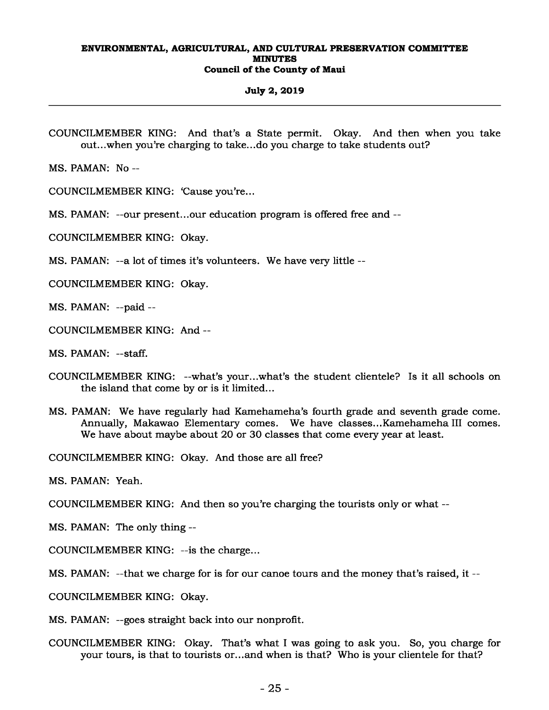#### **July 2, 2019**

COUNCILMEMBER KING: And that's a State permit. Okay. And then when you take out...when you're charging to take...do you charge to take students out?

MS. PAMAN: No --

COUNCILMEMBER KING: 'Cause you're...

MS. PAMAN: --our present...our education program is offered free and --

COUNCILMEMBER KING: Okay.

MS. PAMAN: --a lot of times it's volunteers. We have very little --

COUNCILMEMBER KING: Okay.

MS. PAMAN: --paid --

COUNCILMEMBER KING: And --

MS. PAMAN: --staff.

- COUNCILMEMBER KING: --what's your...what's the student clientele? Is it all schools on the island that come by or is it limited...
- MS. PAMAN: We have regularly had Kamehameha's fourth grade and seventh grade come. Annually, Makawao Elementary comes. We have classes...Kamehameha III comes. We have about maybe about 20 or 30 classes that come every year at least.

COUNCILMEMBER KING: Okay. And those are all free?

MS. PAMAN: Yeah.

COUNCILMEMBER KING: And then so you're charging the tourists only or what --

MS. PAMAN: The only thing --

COUNCILMEMBER KING: --is the charge...

MS. PAMAN: --that we charge for is for our canoe tours and the money that's raised, it --

COUNCILMEMBER KING: Okay.

MS. PAMAN: --goes straight back into our nonprofit.

COUNCILMEMBER KING: Okay. That's what I was going to ask you. So, you charge for your tours, is that to tourists or...and when is that? Who is your clientele for that?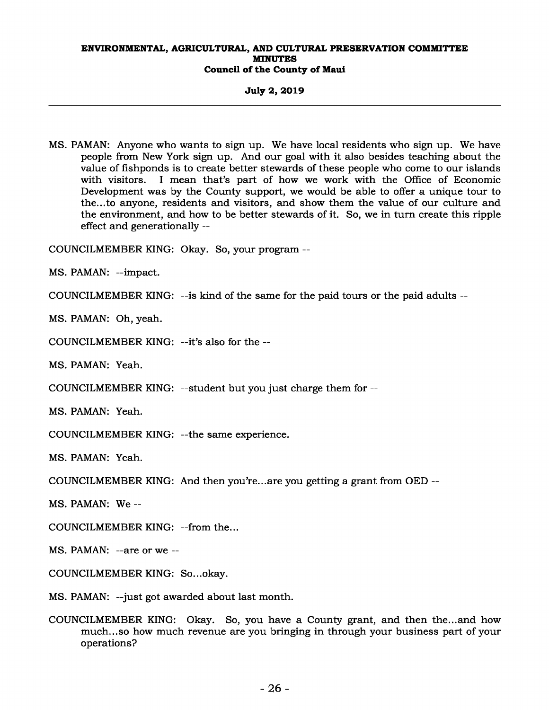**July 2, 2019** 

MS. PAMAN: Anyone who wants to sign up. We have local residents who sign up. We have people from New York sign up. And our goal with it also besides teaching about the value of fishponds is to create better stewards of these people who come to our islands with visitors. I mean that's part of how we work with the Office of Economic I mean that's part of how we work with the Office of Economic Development was by the County support, we would be able to offer a unique tour to the...to anyone, residents and visitors, and show them the value of our culture and the environment, and how to be better stewards of it. So, we in turn create this ripple effect and generationally --

COUNCILMEMBER KING: Okay. So, your program --

MS. PAMAN: --impact.

COUNCILMEMBER KING: --is kind of the same for the paid tours or the paid adults --

MS. PAMAN: Oh, yeah.

COUNCILMEMBER KING: --it's also for the --

MS. PAMAN: Yeah.

COUNCILMEMBER KING: --student but you just charge them for --

MS. PAMAN: Yeah.

COUNCILMEMBER KING: --the same experience.

MS. PAMAN: Yeah.

COUNCILMEMBER KING: And then you're...are you getting a grant from OED --

MS. PAMAN: We --

COUNCILMEMBER KING: --from the...

MS. PAMAN: --are or we --

COUNCILMEMBER KING: So...okay.

MS. PAMAN: --just got awarded about last month.

COUNCILMEMBER KING: Okay. So, you have a County grant, and then the...and how much...so how much revenue are you bringing in through your business part of your operations?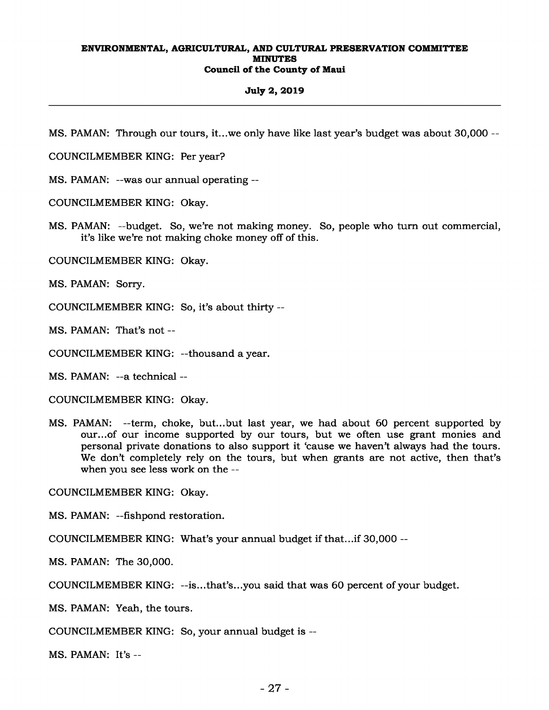#### **July 2, 2019**

MS. PAMAN: Through our tours, it...we only have like last year's budget was about 30,000 --

COUNCILMEMBER KING: Per year?

MS. PAMAN: --was our annual operating --

COUNCILMEMBER KING: Okay.

MS. PAMAN: --budget. So, we're not making money. So, people who turn out commercial, it's like we're not making choke money off of this.

COUNCILMEMBER KING: Okay.

MS. PAMAN: Sorry.

COUNCILMEMBER KING: So, it's about thirty --

MS. PAMAN: That's not --

COUNCILMEMBER KING: --thousand a year.

MS. PAMAN: --a technical --

COUNCILMEMBER KING: Okay.

MS. PAMAN: --term, choke, but...but last year, we had about 60 percent supported by our...of our income supported by our tours, but we often use grant monies and personal private donations to also support it 'cause we haven't always had the tours. We don't completely rely on the tours, but when grants are not active, then that's when you see less work on the --

COUNCILMEMBER KING: Okay.

MS. PAMAN: --fishpond restoration.

COUNCILMEMBER KING: What's your annual budget if that...if 30,000 --

MS. PAMAN: The 30,000.

COUNCILMEMBER KING: --is...that's...you said that was 60 percent of your budget.

MS. PAMAN: Yeah, the tours.

COUNCILMEMBER KING: So, your annual budget is --

MS. PAMAN: It's --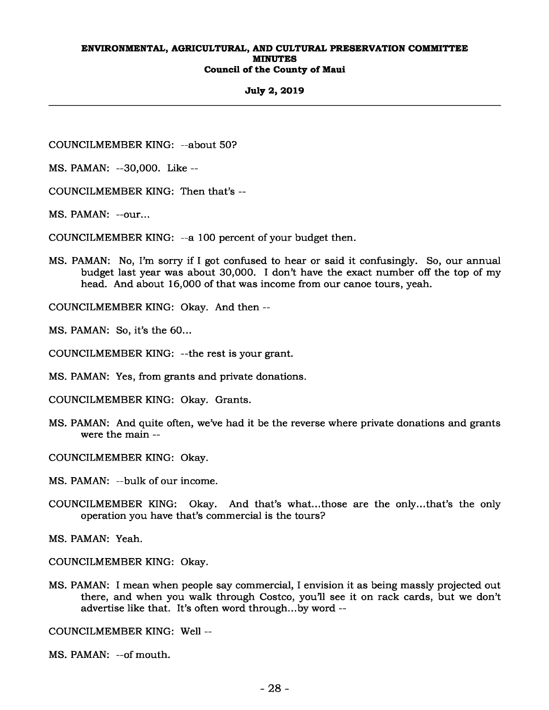## **July 2, 2019**

COUNCILMEMBER KING: --about 50?

MS. PAMAN: --30,000. Like --

COUNCILMEMBER KING: Then that's --

MS. PAMAN: --our...

COUNCILMEMBER KING: --a 100 percent of your budget then.

MS. PAMAN: No, I'm sorry if I got confused to hear or said it confusingly. So, our annual budget last year was about 30,000. I don't have the exact number off the top of my head. And about 16,000 of that was income from our canoe tours, yeah.

COUNCILMEMBER KING: Okay. And then --

MS. PAMAN: So, it's the 60...

COUNCILMEMBER KING: --the rest is your grant.

MS. PAMAN: Yes, from grants and private donations.

COUNCILMEMBER KING: Okay. Grants.

MS. PAMAN: And quite often, we've had it be the reverse where private donations and grants were the main --

COUNCILMEMBER KING: Okay.

MS. PAMAN: --bulk of our income.

COUNCILMEMBER KING: Okay. And that's what...those are the only...that's the only operation you have that's commercial is the tours?

MS. PAMAN: Yeah.

COUNCILMEMBER KING: Okay.

MS. PAMAN: I mean when people say commercial, I envision it as being massly projected out there, and when you walk through Costco, you'll see it on rack cards, but we don't advertise like that. It's often word through...by word --

COUNCILMEMBER KING: Well --

MS. PAMAN: --of mouth.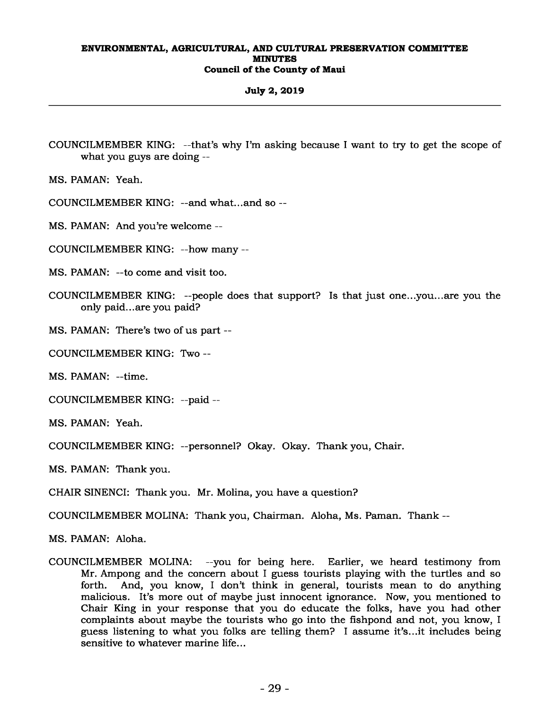## **July 2, 2019**

COUNCILMEMBER KING: --that's why I'm asking because I want to try to get the scope of what you guys are doing --

MS. PAMAN: Yeah.

COUNCILMEMBER KING: --and what...and so --

MS. PAMAN: And you're welcome --

COUNCILMEMBER KING: --how many --

MS. PAMAN: --to come and visit too.

COUNCILMEMBER KING: --people does that support? Is that just one...you...are you the only paid...are you paid?

MS. PAMAN: There's two of us part --

COUNCILMEMBER KING: Two --

MS. PAMAN: --time.

COUNCILMEMBER KING: --paid --

MS. PAMAN: Yeah.

COUNCILMEMBER KING: --personnel? Okay. Okay. Thank you, Chair.

MS. PAMAN: Thank you.

CHAIR SINENCI: Thank you. Mr. Molina, you have a question?

COUNCILMEMBER MOLINA: Thank you, Chairman. Aloha, Ms. Paman. Thank --

MS. PAMAN: Aloha.

COUNCILMEMBER MOLINA: --you for being here. Earlier, we heard testimony from Mr. Ampong and the concern about I guess tourists playing with the turtles and so forth. And, you know, I don't think in general, tourists mean to do anything malicious. It's more out of maybe just innocent ignorance. Now, you mentioned to Chair King in your response that you do educate the folks, have you had other complaints about maybe the tourists who go into the fishpond and not, you know, I guess listening to what you folks are telling them? I assume it's...it includes being sensitive to whatever marine life...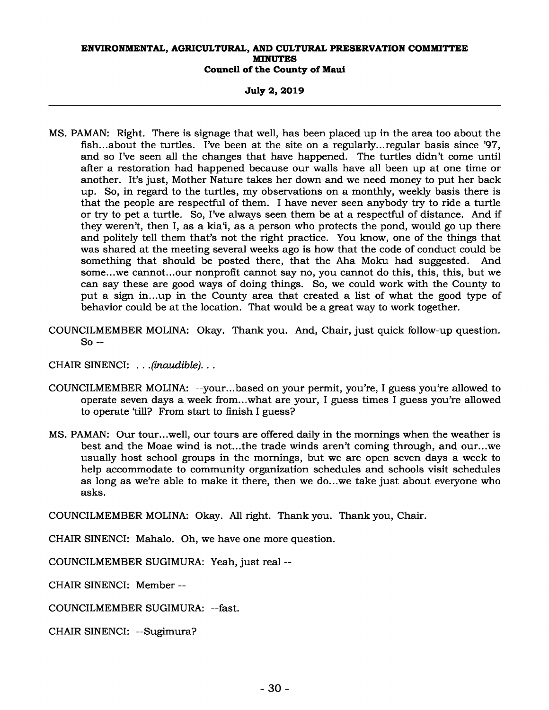**July 2, 2019** 

- MS. PAMAN: Right. There is signage that well, has been placed up in the area too about the fish...about the turtles. I've been at the site on a regularly...regular basis since '97, and so I've seen all the changes that have happened. The turtles didn't come until after a restoration had happened because our walls have all been up at one time or another. It's just, Mother Nature takes her down and we need money to put her back up. So, in regard to the turtles, my observations on a monthly, weekly basis there is that the people are respectful of them. I have never seen anybody try to ride a turtle or try to pet a turtle. So, I've always seen them be at a respectful of distance. And if they weren't, then I, as a kia'i, as a person who protects the pond, would go up there and politely tell them that's not the right practice. You know, one of the things that was shared at the meeting several weeks ago is how that the code of conduct could be something that should be posted there, that the Aha Moku had suggested. And some...we cannot...our nonprofit cannot say no, you cannot do this, this, this, but we can say these are good ways of doing things. So, we could work with the County to put a sign in...up in the County area that created a list of what the good type of behavior could be at the location. That would be a great way to work together.
- COUNCILMEMBER MOLINA: Okay. Thank you. And, Chair, just quick follow-up question. So --

CHAIR SINENCI: *. . .(inaudible). . .* 

- COUNCILMEMBER MOLINA: --your...based on your permit, you're, I guess you're allowed to operate seven days a week from...what are your, I guess times I guess you're allowed to operate 'till? From start to finish I guess?
- MS. PAMAN: Our tour...well, our tours are offered daily in the mornings when the weather is best and the Moae wind is not...the trade winds aren't coming through, and our...we usually host school groups in the mornings, but we are open seven days a week to help accommodate to community organization schedules and schools visit schedules as long as we're able to make it there, then we do...we take just about everyone who asks.

COUNCILMEMBER MOLINA: Okay. All right. Thank you. Thank you, Chair.

CHAIR SINENCI: Mahalo. Oh, we have one more question.

COUNCILMEMBER SUGIMURA: Yeah, just real --

CHAIR SINENCI: Member --

COUNCILMEMBER SUGIMURA: --fast.

CHAIR SINENCI: --Sugimura?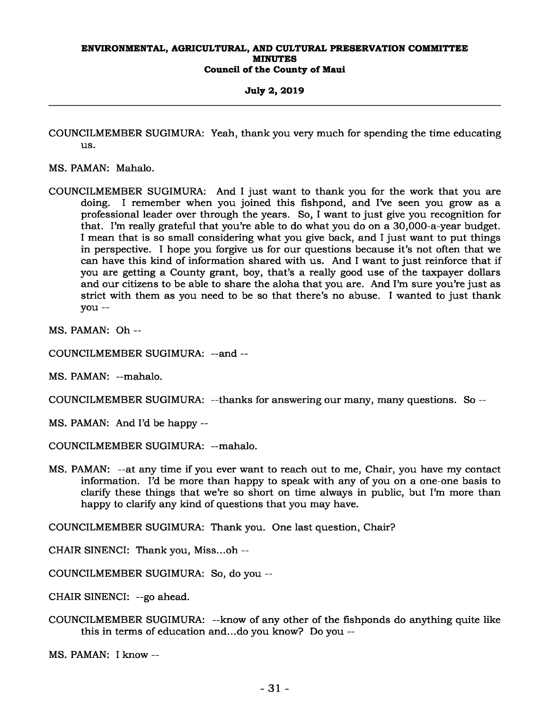**July 2, 2019** 

COUNCILMEMBER SUGIMURA: Yeah, thank you very much for spending the time educating us.

MS. PAMAN: Mahalo.

COUNCILMEMBER SUGIMURA: And I just want to thank you for the work that you are doing. I remember when you joined this fishpond, and I've seen you grow as a professional leader over through the years. So, I want to just give you recognition for that. I'm really grateful that you're able to do what you do on a 30,000-a-year budget. I mean that is so small considering what you give back, and I just want to put things in perspective. I hope you forgive us for our questions because it's not often that we can have this kind of information shared with us. And I want to just reinforce that if you are getting a County grant, boy, that's a really good use of the taxpayer dollars and our citizens to be able to share the aloha that you are. And I'm sure you're just as strict with them as you need to be so that there's no abuse. I wanted to just thank you --

MS. PAMAN: Oh --

COUNCILMEMBER SUGIMURA: --and --

MS. PAMAN: --mahalo.

COUNCILMEMBER SUGIMURA: --thanks for answering our many, many questions. So --

MS. PAMAN: And I'd be happy --

COUNCILMEMBER SUGIMURA: --mahalo.

MS. PAMAN: --at any time if you ever want to reach out to me, Chair, you have my contact information. I'd be more than happy to speak with any of you on a one-one basis to clarify these things that we're so short on time always in public, but I'm more than happy to clarify any kind of questions that you may have.

COUNCILMEMBER SUGIMURA: Thank you. One last question, Chair?

CHAIR SINENCI: Thank you, Miss...oh --

COUNCILMEMBER SUGIMURA: So, do you --

CHAIR SINENCI: --go ahead.

COUNCILMEMBER SUGIMURA: --know of any other of the fishponds do anything quite like this in terms of education and...do you know? Do you --

MS. PAMAN: I know --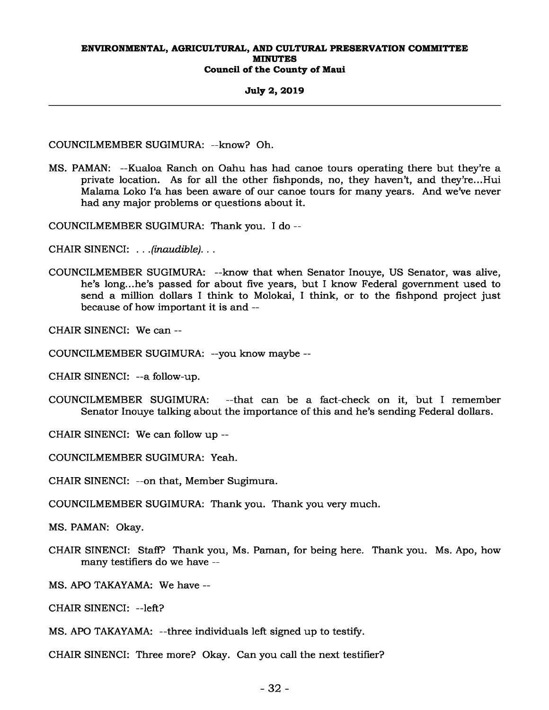#### **July 2, 2019**

COUNCILMEMBER SUGIMURA: --know? Oh.

MS. PAMAN: --Kualoa Ranch on Oahu has had canoe tours operating there but they're a private location. As for all the other fishponds, no, they haven't, and they're...Hui Malama Loko I'a has been aware of our canoe tours for many years. And we've never had any major problems or questions about it.

COUNCILMEMBER SUGIMURA: Thank you. I do --

CHAIR SINENCI: *. . .(inaudible). . .* 

COUNCILMEMBER SUGIMURA: --know that when Senator Inouye, US Senator, was alive, he's long...he's passed for about five years, but I know Federal government used to send a million dollars I think to Molokai, I think, or to the fishpond project just because of how important it is and --

CHAIR SINENCI: We can --

COUNCILMEMBER SUGIMURA: --you know maybe --

CHAIR SINENCI: --a follow-up.

COUNCILMEMBER SUGIMURA: --that can be a fact-check on it, but I remember Senator Inouye talking about the importance of this and he's sending Federal dollars.

CHAIR SINENCI: We can follow up --

COUNCILMEMBER SUGIMURA: Yeah.

CHAIR SINENCI: --on that, Member Sugimura.

COUNCILMEMBER SUGIMURA: Thank you. Thank you very much.

MS. PAMAN: Okay.

CHAIR SINENCI: Staff? Thank you, Ms. Paman, for being here. Thank you. Ms. Apo, how many testifiers do we have --

MS. APO TAKAYAMA: We have --

CHAIR SINENCI: --left?

MS. APO TAKAYAMA: --three individuals left signed up to testify.

CHAIR SINENCI: Three more? Okay. Can you call the next testifier?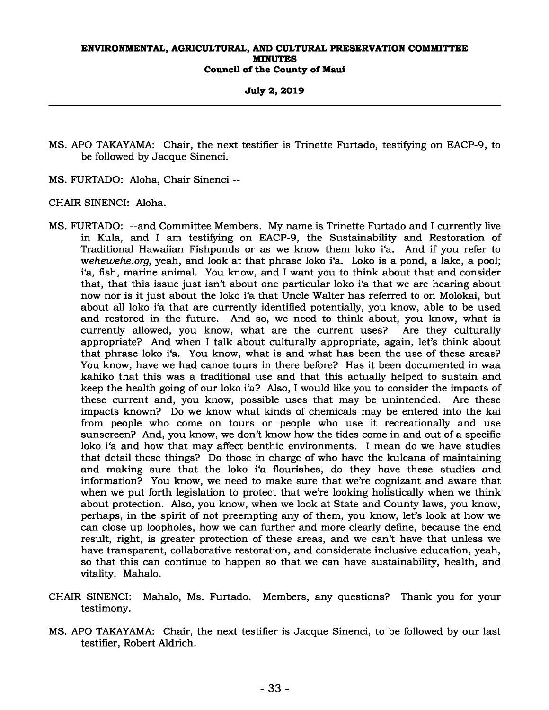**July 2, 2019** 

- MS. APO TAKAYAMA: Chair, the next testifier is Trinette Furtado, testifying on EACP-9, to be followed by Jacque Sinenci.
- MS. FURTADO: Aloha, Chair Sinenci --

CHAIR SINENCI: Aloha.

- MS. FURTADO: --and Committee Members. My name is Trinette Furtado and I currently live in Kula, and I am testifying on EACP-9, the Sustainability and Restoration of Traditional Hawaiian Fishponds or as we know them loko i'a. And if you refer to w*ehewehe.org*, yeah, and look at that phrase loko i'a. Loko is a pond, a lake, a pool; i'a, fish, marine animal. You know, and I want you to think about that and consider that, that this issue just isn't about one particular loko i'a that we are hearing about now nor is it just about the loko i'a that Uncle Walter has referred to on Molokai, but about all loko i'a that are currently identified potentially, you know, able to be used and restored in the future. And so, we need to think about, you know, what is currently allowed, you know, what are the current uses? Are they culturally appropriate? And when I talk about culturally appropriate, again, let's think about that phrase loko i'a. You know, what is and what has been the use of these areas? You know, have we had canoe tours in there before? Has it been documented in waa kahiko that this was a traditional use and that this actually helped to sustain and keep the health going of our loko i'a? Also, I would like you to consider the impacts of these current and, you know, possible uses that may be unintended. Are these impacts known? Do we know what kinds of chemicals may be entered into the kai from people who come on tours or people who use it recreationally and use sunscreen? And, you know, we don't know how the tides come in and out of a specific loko i'a and how that may affect benthic environments. I mean do we have studies that detail these things? Do those in charge of who have the kuleana of maintaining and making sure that the loko i'a flourishes, do they have these studies and information? You know, we need to make sure that we're cognizant and aware that when we put forth legislation to protect that we're looking holistically when we think about protection. Also, you know, when we look at State and County laws, you know, perhaps, in the spirit of not preempting any of them, you know, let's look at how we can close up loopholes, how we can further and more clearly define, because the end result, right, is greater protection of these areas, and we can't have that unless we have transparent, collaborative restoration, and considerate inclusive education, yeah, so that this can continue to happen so that we can have sustainability, health, and vitality. Mahalo.
- CHAIR SINENCI: Mahalo, Ms. Furtado. Members, any questions? Thank you for your testimony.
- MS. APO TAKAYAMA: Chair, the next testifier is Jacque Sinenci, to be followed by our last testifier, Robert Aldrich.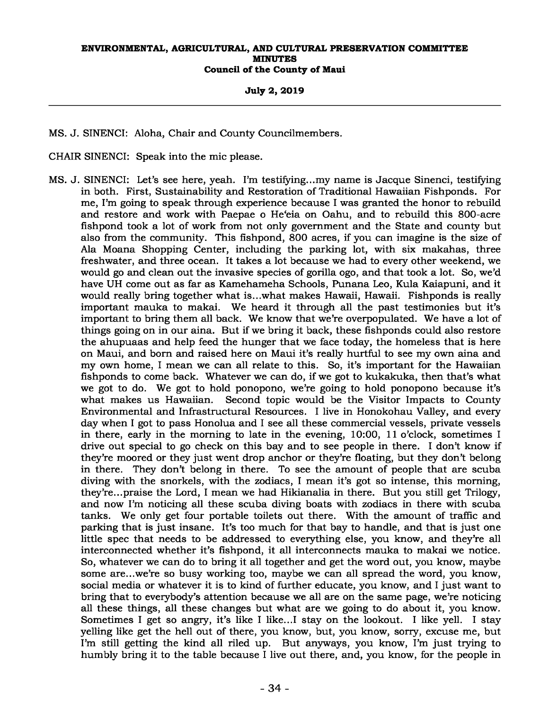#### **July 2, 2019**

MS. J. SINENCI: Aloha, Chair and County Councilmembers.

- CHAIR SINENCI: Speak into the mic please.
- MS. J. SINENCI: Let's see here, yeah. I'm testifying...my name is Jacque Sinenci, testifying in both. First, Sustainability and Restoration of Traditional Hawaiian Fishponds. For me, I'm going to speak through experience because I was granted the honor to rebuild and restore and work with Paepae o He'eia on Oahu, and to rebuild this 800-acre fishpond took a lot of work from not only government and the State and county but also from the community. This fishpond, 800 acres, if you can imagine is the size of Ala Moana Shopping Center, including the parking lot, with six makahas, three freshwater, and three ocean. It takes a lot because we had to every other weekend, we would go and clean out the invasive species of gorilla ogo, and that took a lot. So, we'd have UH come out as far as Kamehameha Schools, Punana Leo, Kula Kaiapuni, and it would really bring together what is...what makes Hawaii, Hawaii. Fishponds is really important mauka to makai. We heard it through all the past testimonies but it's important to bring them all back. We know that we're overpopulated. We have a lot of things going on in our aina. But if we bring it back, these fishponds could also restore the ahupuaas and help feed the hunger that we face today, the homeless that is here on Maui, and born and raised here on Maui it's really hurtful to see my own aina and my own home, I mean we can all relate to this. So, it's important for the Hawaiian fishponds to come back. Whatever we can do, if we got to kukakuka, then that's what we got to do. We got to hold ponopono, we're going to hold ponopono because it's what makes us Hawaiian. Second topic would be the Visitor Impacts to County Environmental and Infrastructural Resources. I live in Honokohau Valley, and every day when I got to pass Honolua and I see all these commercial vessels, private vessels in there, early in the morning to late in the evening, 10:00, 11 o'clock, sometimes I drive out special to go check on this bay and to see people in there. I don't know if they're moored or they just went drop anchor or they're floating, but they don't belong in there. They don't belong in there. To see the amount of people that are scuba diving with the snorkels, with the zodiacs, I mean it's got so intense, this morning, they're...praise the Lord, I mean we had Hikianalia in there. But you still get Trilogy, and now I'm noticing all these scuba diving boats with zodiacs in there with scuba tanks. We only get four portable toilets out there. With the amount of traffic and parking that is just insane. It's too much for that bay to handle, and that is just one little spec that needs to be addressed to everything else, you know, and they're all interconnected whether it's fishpond, it all interconnects mauka to makai we notice. So, whatever we can do to bring it all together and get the word out, you know, maybe some are...we're so busy working too, maybe we can all spread the word, you know, social media or whatever it is to kind of further educate, you know, and I just want to bring that to everybody's attention because we all are on the same page, we're noticing all these things, all these changes but what are we going to do about it, you know. Sometimes I get so angry, it's like I like...I stay on the lookout. I like yell. I stay yelling like get the hell out of there, you know, but, you know, sorry, excuse me, but I'm still getting the kind all riled up. But anyways, you know, I'm just trying to humbly bring it to the table because I live out there, and, you know, for the people in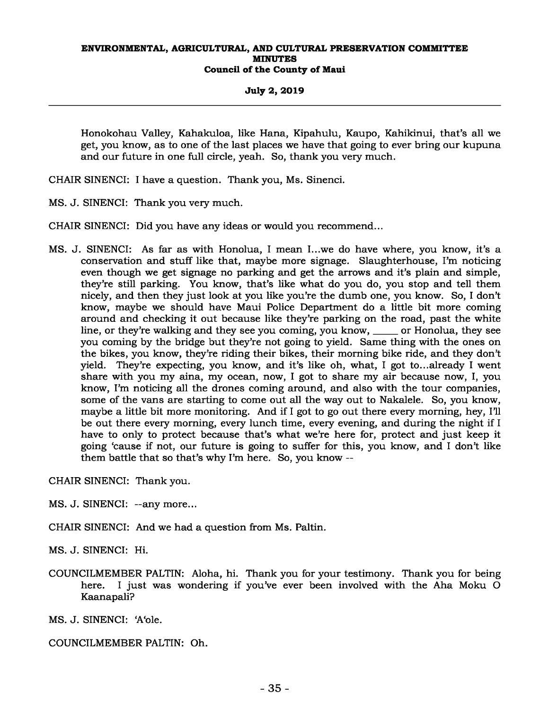**July 2, 2019** 

Honokohau Valley, Kahakuloa, like Hana, Kipahulu, Kaupo, Kahikinui, that's all we get, you know, as to one of the last places we have that going to ever bring our kupuna and our future in one full circle, yeah. So, thank you very much.

CHAIR SINENCI: I have a question. Thank you, Ms. Sinenci.

MS. J. SINENCI: Thank you very much.

CHAIR SINENCI: Did you have any ideas or would you recommend...

MS. J. SINENCI: As far as with Honolua, I mean I...we do have where, you know, it's a conservation and stuff like that, maybe more signage. Slaughterhouse, I'm noticing even though we get signage no parking and get the arrows and it's plain and simple, they're still parking. You know, that's like what do you do, you stop and tell them nicely, and then they just look at you like you're the dumb one, you know. So, I don't know, maybe we should have Maui Police Department do a little bit more coming around and checking it out because like they're parking on the road, past the white line, or they're walking and they see you coming, you know, \_\_\_\_\_ or Honolua, they see you coming by the bridge but they're not going to yield. Same thing with the ones on the bikes, you know, they're riding their bikes, their morning bike ride, and they don't yield. They're expecting, you know, and it's like oh, what, I got to...already I went share with you my aina, my ocean, now, I got to share my air because now, I, you know, I'm noticing all the drones coming around, and also with the tour companies, some of the vans are starting to come out all the way out to Nakalele. So, you know, maybe a little bit more monitoring. And if I got to go out there every morning, hey, I'll be out there every morning, every lunch time, every evening, and during the night if I have to only to protect because that's what we're here for, protect and just keep it going 'cause if not, our future is going to suffer for this, you know, and I don't like them battle that so that's why I'm here. So, you know --

CHAIR SINENCI: Thank you.

MS. J. SINENCI: --any more...

CHAIR SINENCI: And we had a question from Ms. Paltin.

MS. J. SINENCI: Hi.

COUNCILMEMBER PALTIN: Aloha, hi. Thank you for your testimony. Thank you for being here. I just was wondering if you've ever been involved with the Aha Moku O Kaanapali?

MS. J. SINENCI: 'A'ole.

COUNCILMEMBER PALTIN: Oh.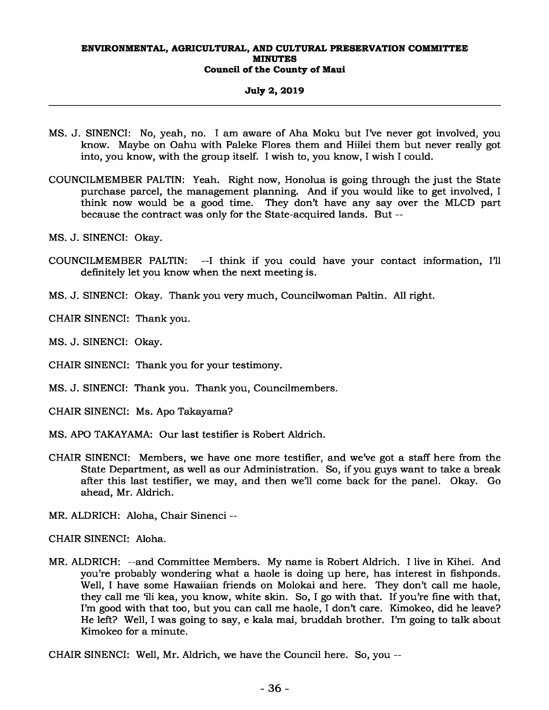## **July 2, 2019**

- MS. J. SINENCI: No, yeah, no. I am aware of Aha Moku but I've never got involved, you know. Maybe on Oahu with Paleke Flores them and Hiilei them but never really got into, you know, with the group itself. I wish to, you know, I wish I could.
- COUNCILMEMBER PALTIN: Yeah. Right now, Honolua is going through the just the State purchase parcel, the management planning. And if you would like to get involved, I think now would be a good time. They don't have any say over the MLCD part because the contract was only for the State-acquired lands. But --
- MS. J. SINENCI: Okay.
- COUNCILMEMBER PALTIN: --I think if you could have your contact information, I'll definitely let you know when the next meeting is.
- MS. J. SINENCI: Okay. Thank you very much, Councilwoman Paltin. All right.

CHAIR SINENCI: Thank you.

MS. J. SINENCI: Okay.

CHAIR SINENCI: Thank you for your testimony.

MS. J. SINENCI: Thank you. Thank you, Councilmembers.

CHAIR SINENCI: Ms. Apo Takayama?

- MS. APO TAKAYAMA: Our last testifier is Robert Aldrich.
- CHAIR SINENCI: Members, we have one more testifier, and we've got a staff here from the State Department, as well as our Administration. So, if you guys want to take a break after this last testifier, we may, and then we'll come back for the panel. Okay. Go ahead, Mr. Aldrich.

MR. ALDRICH: Aloha, Chair Sinenci --

CHAIR SINENCI: Aloha.

MR. ALDRICH: --and Committee Members. My name is Robert Aldrich. I live in Kihei. And you're probably wondering what a haole is doing up here, has interest in fishponds. Well, I have some Hawaiian friends on Molokai and here. They don't call me haole, they call me 'ili kea, you know, white skin. So, I go with that. If you're fine with that, I'm good with that too, but you can call me haole, I don't care. Kimokeo, did he leave? He left? Well, I was going to say, e kala mai, bruddah brother. I'm going to talk about Kimokeo for a minute.

CHAIR SINENCI: Well, Mr. Aldrich, we have the Council here. So, you --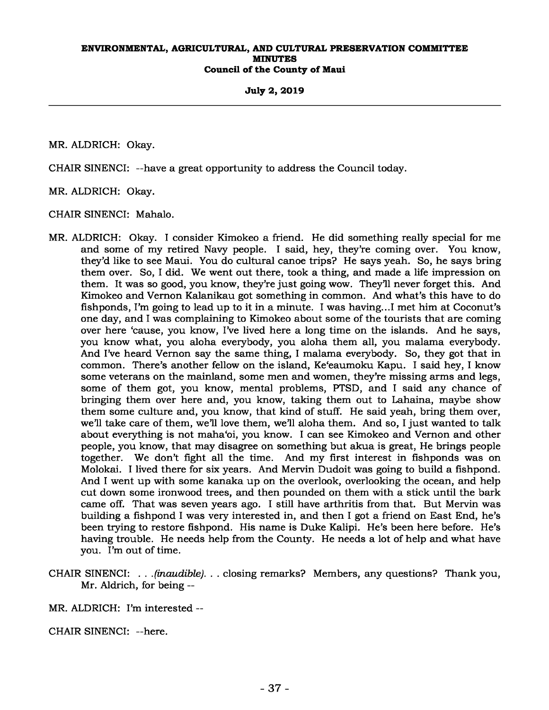## **July 2, 2019**

MR. ALDRICH: Okay.

CHAIR SINENCI: --have a great opportunity to address the Council today.

MR. ALDRICH: Okay.

CHAIR SINENCI: Mahalo.

- MR. ALDRICH: Okay. I consider Kimokeo a friend. He did something really special for me and some of my retired Navy people. I said, hey, they're coming over. You know, they'd like to see Maui. You do cultural canoe trips? He says yeah. So, he says bring them over. So, I did. We went out there, took a thing, and made a life impression on them. It was so good, you know, they're just going wow. They'll never forget this. And Kimokeo and Vernon Kalanikau got something in common. And what's this have to do fishponds, I'm going to lead up to it in a minute. I was having...I met him at Coconut's one day, and I was complaining to Kimokeo about some of the tourists that are coming over here 'cause, you know, I've lived here a long time on the islands. And he says, you know what, you aloha everybody, you aloha them all, you malama everybody. And I've heard Vernon say the same thing, I malama everybody. So, they got that in common. There's another fellow on the island, Ke'eaumoku Kapu. I said hey, I know some veterans on the mainland, some men and women, they're missing arms and legs, some of them got, you know, mental problems, PTSD, and I said any chance of bringing them over here and, you know, taking them out to Lahaina, maybe show them some culture and, you know, that kind of stuff. He said yeah, bring them over, we'll take care of them, we'll love them, we'll aloha them. And so, I just wanted to talk about everything is not maha'oi, you know. I can see Kimokeo and Vernon and other people, you know, that may disagree on something but akua is great, He brings people together. We don't fight all the time. And my first interest in fishponds was on Molokai. I lived there for six years. And Mervin Dudoit was going to build a fishpond. And I went up with some kanaka up on the overlook, overlooking the ocean, and help cut down some ironwood trees, and then pounded on them with a stick until the bark came off. That was seven years ago. I still have arthritis from that. But Mervin was building a fishpond I was very interested in, and then I got a friend on East End, he's been trying to restore fishpond. His name is Duke Kalipi. He's been here before. He's having trouble. He needs help from the County. He needs a lot of help and what have you. I'm out of time.
- CHAIR SINENCI: *. . .(inaudible). . .* closing remarks? Members, any questions? Thank you, Mr. Aldrich, for being --
- MR. ALDRICH: I'm interested --
- CHAIR SINENCI: --here.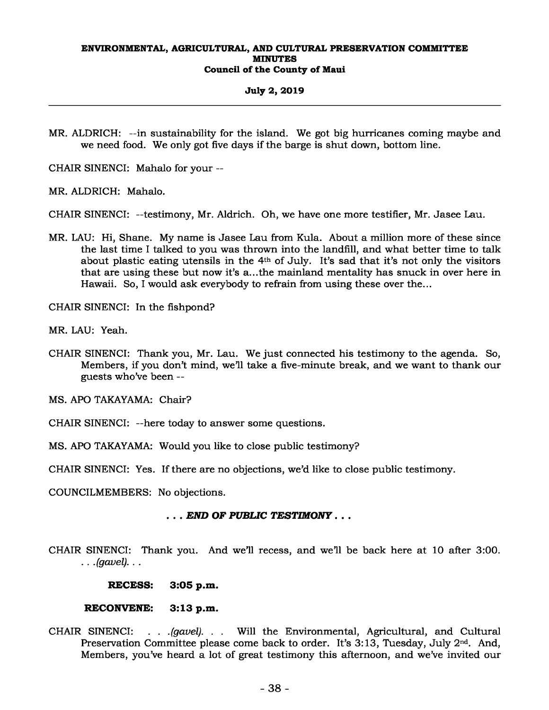## **July 2, 2019**

MR. ALDRICH: --in sustainability for the island. We got big hurricanes coming maybe and we need food. We only got five days if the barge is shut down, bottom line.

CHAIR SINENCI: Mahalo for your --

MR. ALDRICH: Mahalo.

CHAIR SINENCI: --testimony, Mr. Aldrich. Oh, we have one more testifier, Mr. Jasee Lau.

MR. LAU: Hi, Shane. My name is Jasee Lau from Kula. About a million more of these since the last time I talked to you was thrown into the landfill, and what better time to talk about plastic eating utensils in the 4th of July. It's sad that it's not only the visitors that are using these but now it's a...the mainland mentality has snuck in over here in Hawaii. So, I would ask everybody to refrain from using these over the...

CHAIR SINENCI: In the fishpond?

MR. LAU: Yeah.

CHAIR SINENCI: Thank you, Mr. Lau. We just connected his testimony to the agenda. So, Members, if you don't mind, we'll take a five-minute break, and we want to thank our guests who've been --

MS. APO TAKAYAMA: Chair?

- CHAIR SINENCI: --here today to answer some questions.
- MS. APO TAKAYAMA: Would you like to close public testimony?

CHAIR SINENCI: Yes. If there are no objections, we'd like to close public testimony.

COUNCILMEMBERS: No objections.

## *. . . END OF PUBLIC TESTIMONY . . .*

CHAIR SINENCI: Thank you. And we'll recess, and we'll be back here at 10 after 3:00. *. . .(gavel). . .* 

**RECESS: 3:05 p.m.** 

## **RECONVENE: 3:13 p.m.**

CHAIR SINENCI: *. . .(gavel). . .* Will the Environmental, Agricultural, and Cultural Preservation Committee please come back to order. It's 3:13, Tuesday, July 2<sup>nd</sup>. And, Members, you've heard a lot of great testimony this afternoon, and we've invited our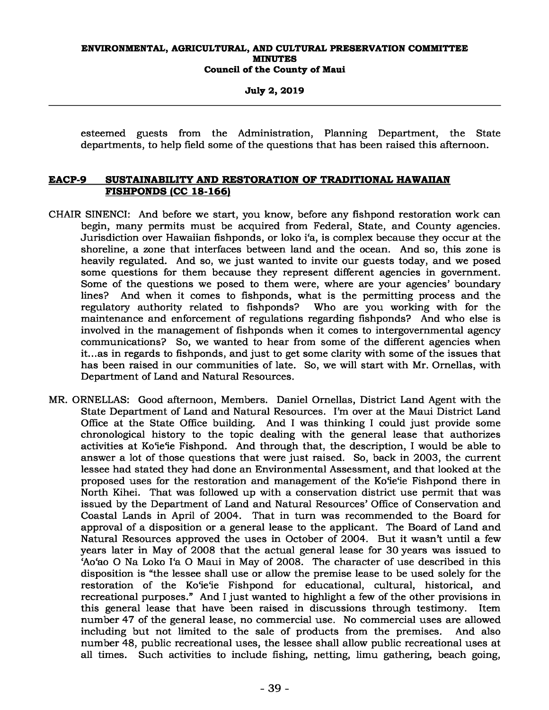**July 2, 2019** 

esteemed guests from the Administration, Planning Department, the State departments, to help field some of the questions that has been raised this afternoon.

## **EACP-9 SUSTAINABILITY AND RESTORATION OF TRADITIONAL HAWAIIAN FISHPONDS (CC 18-166)**

- CHAIR SINENCI: And before we start, you know, before any fishpond restoration work can begin, many permits must be acquired from Federal, State, and County agencies. Jurisdiction over Hawaiian fishponds, or loko i'a, is complex because they occur at the shoreline, a zone that interfaces between land and the ocean. And so, this zone is heavily regulated. And so, we just wanted to invite our guests today, and we posed some questions for them because they represent different agencies in government. Some of the questions we posed to them were, where are your agencies' boundary lines? And when it comes to fishponds, what is the permitting process and the regulatory authority related to fishponds? Who are you working with for the maintenance and enforcement of regulations regarding fishponds? And who else is involved in the management of fishponds when it comes to intergovernmental agency communications? So, we wanted to hear from some of the different agencies when it...as in regards to fishponds, and just to get some clarity with some of the issues that has been raised in our communities of late. So, we will start with Mr. Ornellas, with Department of Land and Natural Resources.
- MR. ORNELLAS: Good afternoon, Members. Daniel Ornellas, District Land Agent with the State Department of Land and Natural Resources. I'm over at the Maui District Land Office at the State Office building. And I was thinking I could just provide some chronological history to the topic dealing with the general lease that authorizes activities at Ko'ie'ie Fishpond. And through that, the description, I would be able to answer a lot of those questions that were just raised. So, back in 2003, the current lessee had stated they had done an Environmental Assessment, and that looked at the proposed uses for the restoration and management of the Ko'ie'ie Fishpond there in North Kihei. That was followed up with a conservation district use permit that was issued by the Department of Land and Natural Resources' Office of Conservation and Coastal Lands in April of 2004. That in turn was recommended to the Board for approval of a disposition or a general lease to the applicant. The Board of Land and Natural Resources approved the uses in October of 2004. But it wasn't until a few years later in May of 2008 that the actual general lease for 30 years was issued to 'Ao'ao O Na Loko I'a O Maui in May of 2008. The character of use described in this disposition is "the lessee shall use or allow the premise lease to be used solely for the restoration of the Ko'ie'ie Fishpond for educational, cultural, historical, and recreational purposes." And I just wanted to highlight a few of the other provisions in this general lease that have been raised in discussions through testimony. Item number 47 of the general lease, no commercial use. No commercial uses are allowed including but not limited to the sale of products from the premises. And also number 48, public recreational uses, the lessee shall allow public recreational uses at all times. Such activities to include fishing, netting, limu gathering, beach going,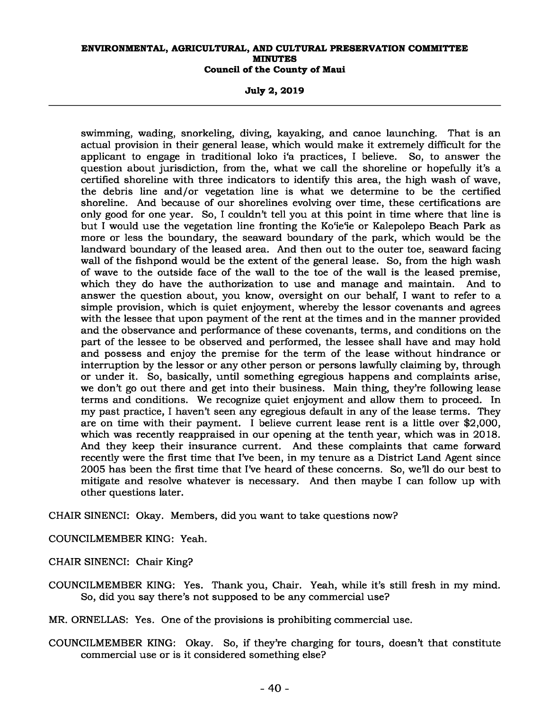**July 2, 2019** 

swimming, wading, snorkeling, diving, kayaking, and canoe launching. That is an actual provision in their general lease, which would make it extremely difficult for the applicant to engage in traditional loko i'a practices, I believe. So, to answer the question about jurisdiction, from the, what we call the shoreline or hopefully it's a certified shoreline with three indicators to identify this area, the high wash of wave, the debris line and/or vegetation line is what we determine to be the certified shoreline. And because of our shorelines evolving over time, these certifications are only good for one year. So, I couldn't tell you at this point in time where that line is but I would use the vegetation line fronting the Ko'ie'ie or Kalepolepo Beach Park as more or less the boundary, the seaward boundary of the park, which would be the landward boundary of the leased area. And then out to the outer toe, seaward facing wall of the fishpond would be the extent of the general lease. So, from the high wash of wave to the outside face of the wall to the toe of the wall is the leased premise, which they do have the authorization to use and manage and maintain. And to answer the question about, you know, oversight on our behalf, I want to refer to a simple provision, which is quiet enjoyment, whereby the lessor covenants and agrees with the lessee that upon payment of the rent at the times and in the manner provided and the observance and performance of these covenants, terms, and conditions on the part of the lessee to be observed and performed, the lessee shall have and may hold and possess and enjoy the premise for the term of the lease without hindrance or interruption by the lessor or any other person or persons lawfully claiming by, through or under it. So, basically, until something egregious happens and complaints arise, we don't go out there and get into their business. Main thing, they're following lease terms and conditions. We recognize quiet enjoyment and allow them to proceed. In my past practice, I haven't seen any egregious default in any of the lease terms. They are on time with their payment. I believe current lease rent is a little over \$2,000, which was recently reappraised in our opening at the tenth year, which was in 2018. And they keep their insurance current. And these complaints that came forward recently were the first time that I've been, in my tenure as a District Land Agent since 2005 has been the first time that I've heard of these concerns. So, we'll do our best to mitigate and resolve whatever is necessary. And then maybe I can follow up with other questions later.

CHAIR SINENCI: Okay. Members, did you want to take questions now?

COUNCILMEMBER KING: Yeah.

CHAIR SINENCI: Chair King?

COUNCILMEMBER KING: Yes. Thank you, Chair. Yeah, while it's still fresh in my mind. So, did you say there's not supposed to be any commercial use?

MR. ORNELLAS: Yes. One of the provisions is prohibiting commercial use.

COUNCILMEMBER KING: Okay. So, if they're charging for tours, doesn't that constitute commercial use or is it considered something else?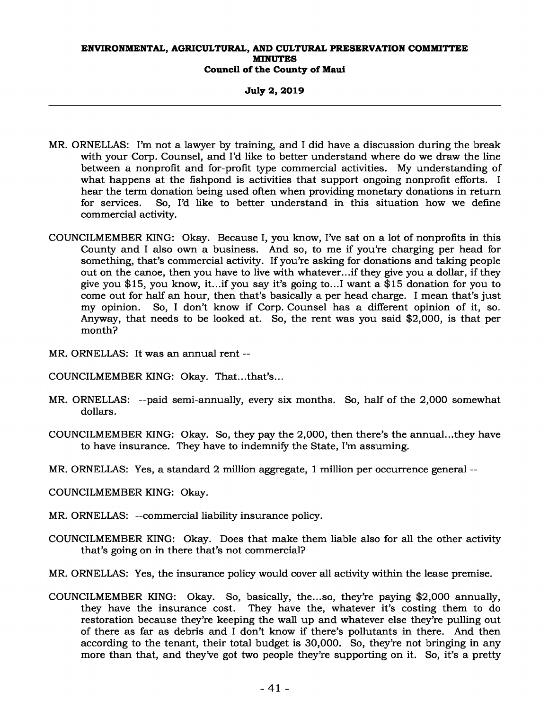**July 2, 2019** 

- MR. ORNELLAS: I'm not a lawyer by training, and I did have a discussion during the break with your Corp. Counsel, and I'd like to better understand where do we draw the line between a nonprofit and for-profit type commercial activities. My understanding of what happens at the fishpond is activities that support ongoing nonprofit efforts. I hear the term donation being used often when providing monetary donations in return for services. So, I'd like to better understand in this situation how we define commercial activity.
- COUNCILMEMBER KING: Okay. Because I, you know, I've sat on a lot of nonprofits in this County and I also own a business. And so, to me if you're charging per head for something, that's commercial activity. If you're asking for donations and taking people out on the canoe, then you have to live with whatever...if they give you a dollar, if they give you \$15, you know, it...if you say it's going to...I want a \$15 donation for you to come out for half an hour, then that's basically a per head charge. I mean that's just my opinion. So, I don't know if Corp. Counsel has a different opinion of it, so. Anyway, that needs to be looked at. So, the rent was you said \$2,000, is that per month?
- MR. ORNELLAS: It was an annual rent --
- COUNCILMEMBER KING: Okay. That...that's...
- MR. ORNELLAS: --paid semi-annually, every six months. So, half of the 2,000 somewhat dollars.
- COUNCILMEMBER KING: Okay. So, they pay the 2,000, then there's the annual...they have to have insurance. They have to indemnify the State, I'm assuming.
- MR. ORNELLAS: Yes, a standard 2 million aggregate, 1 million per occurrence general --
- COUNCILMEMBER KING: Okay.
- MR. ORNELLAS: --commercial liability insurance policy.
- COUNCILMEMBER KING: Okay. Does that make them liable also for all the other activity that's going on in there that's not commercial?
- MR. ORNELLAS: Yes, the insurance policy would cover all activity within the lease premise.
- COUNCILMEMBER KING: Okay. So, basically, the...so, they're paying \$2,000 annually, They have the, whatever it's costing them to do restoration because they're keeping the wall up and whatever else they're pulling out of there as far as debris and I don't know if there's pollutants in there. And then according to the tenant, their total budget is 30,000. So, they're not bringing in any more than that, and they've got two people they're supporting on it. So, it's a pretty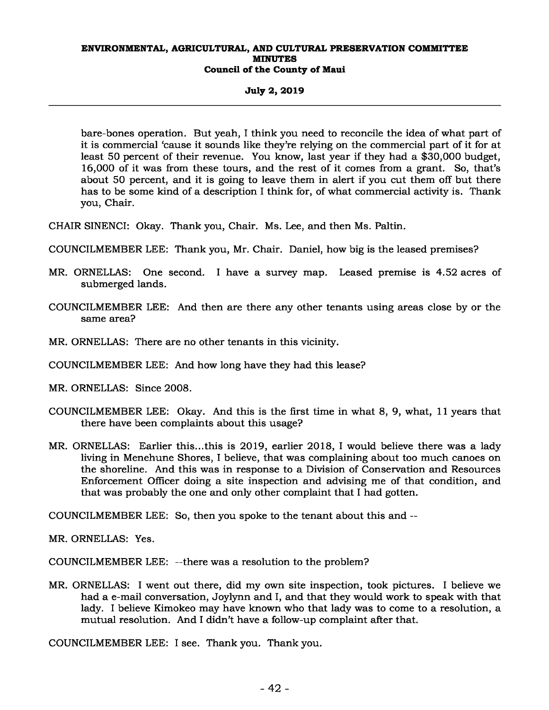## **July 2, 2019**

bare-bones operation. But yeah, I think you need to reconcile the idea of what part of it is commercial 'cause it sounds like they're relying on the commercial part of it for at least 50 percent of their revenue. You know, last year if they had a \$30,000 budget, 16,000 of it was from these tours, and the rest of it comes from a grant. So, that's about 50 percent, and it is going to leave them in alert if you cut them off but there has to be some kind of a description I think for, of what commercial activity is. Thank you, Chair.

CHAIR SINENCI: Okay. Thank you, Chair. Ms. Lee, and then Ms. Paltin.

- COUNCILMEMBER LEE: Thank you, Mr. Chair. Daniel, how big is the leased premises?
- MR. ORNELLAS: One second. I have a survey map. Leased premise is 4.52 acres of submerged lands.
- COUNCILMEMBER LEE: And then are there any other tenants using areas close by or the same area?
- MR. ORNELLAS: There are no other tenants in this vicinity.
- COUNCILMEMBER LEE: And how long have they had this lease?
- MR. ORNELLAS: Since 2008.
- COUNCILMEMBER LEE: Okay. And this is the first time in what 8, 9, what, 11 years that there have been complaints about this usage?
- MR. ORNELLAS: Earlier this...this is 2019, earlier 2018, I would believe there was a lady living in Menehune Shores, I believe, that was complaining about too much canoes on the shoreline. And this was in response to a Division of Conservation and Resources Enforcement Officer doing a site inspection and advising me of that condition, and that was probably the one and only other complaint that I had gotten.

COUNCILMEMBER LEE: So, then you spoke to the tenant about this and --

MR. ORNELLAS: Yes.

COUNCILMEMBER LEE: --there was a resolution to the problem?

MR. ORNELLAS: I went out there, did my own site inspection, took pictures. I believe we had a e-mail conversation, Joylynn and I, and that they would work to speak with that lady. I believe Kimokeo may have known who that lady was to come to a resolution, a mutual resolution. And I didn't have a follow-up complaint after that.

COUNCILMEMBER LEE: I see. Thank you. Thank you.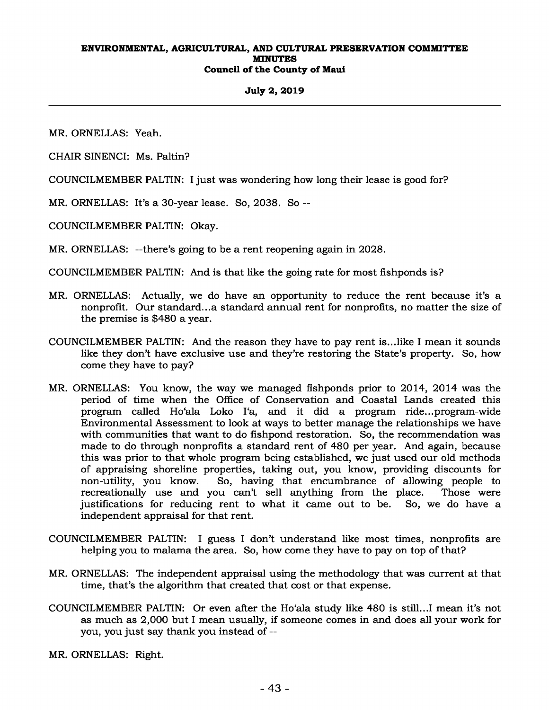## **July 2, 2019**

MR. ORNELLAS: Yeah.

CHAIR SINENCI: Ms. Paltin?

COUNCILMEMBER PALTIN: I just was wondering how long their lease is good for?

MR. ORNELLAS: It's a 30-year lease. So, 2038. So --

COUNCILMEMBER PALTIN: Okay.

MR. ORNELLAS: --there's going to be a rent reopening again in 2028.

COUNCILMEMBER PALTIN: And is that like the going rate for most fishponds is?

- MR. ORNELLAS: Actually, we do have an opportunity to reduce the rent because it's a nonprofit. Our standard...a standard annual rent for nonprofits, no matter the size of the premise is \$480 a year.
- COUNCILMEMBER PALTIN: And the reason they have to pay rent is...like I mean it sounds like they don't have exclusive use and they're restoring the State's property. So, how come they have to pay?
- MR. ORNELLAS: You know, the way we managed fishponds prior to 2014, 2014 was the period of time when the Office of Conservation and Coastal Lands created this program called Ho'ala Loko I'a, and it did a program ride...program-wide Environmental Assessment to look at ways to better manage the relationships we have with communities that want to do fishpond restoration. So, the recommendation was made to do through nonprofits a standard rent of 480 per year. And again, because this was prior to that whole program being established, we just used our old methods of appraising shoreline properties, taking out, you know, providing discounts for non-utility, you know. So, having that encumbrance of allowing people to recreationally use and you can't sell anything from the place. Those were justifications for reducing rent to what it came out to be. So, we do have a justifications for reducing rent to what it came out to be. independent appraisal for that rent.
- COUNCILMEMBER PALTIN: I guess I don't understand like most times, nonprofits are helping you to malama the area. So, how come they have to pay on top of that?
- MR. ORNELLAS: The independent appraisal using the methodology that was current at that time, that's the algorithm that created that cost or that expense.
- COUNCILMEMBER PALTIN: Or even after the Ho'ala study like 480 is still...I mean it's not as much as 2,000 but I mean usually, if someone comes in and does all your work for you, you just say thank you instead of --

MR. ORNELLAS: Right.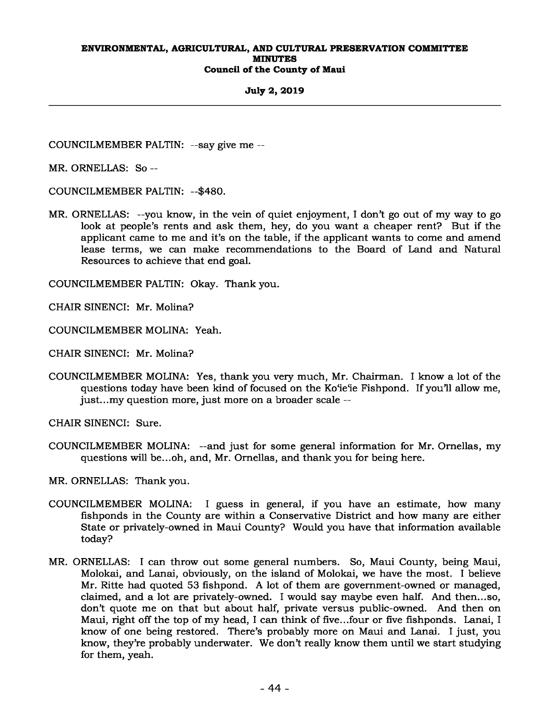**July 2, 2019** 

COUNCILMEMBER PALTIN: --say give me --

MR. ORNELLAS: So --

COUNCILMEMBER PALTIN: --\$480.

MR. ORNELLAS: --you know, in the vein of quiet enjoyment, I don't go out of my way to go look at people's rents and ask them, hey, do you want a cheaper rent? But if the applicant came to me and it's on the table, if the applicant wants to come and amend lease terms, we can make recommendations to the Board of Land and Natural Resources to achieve that end goal.

COUNCILMEMBER PALTIN: Okay. Thank you.

CHAIR SINENCI: Mr. Molina?

COUNCILMEMBER MOLINA: Yeah.

CHAIR SINENCI: Mr. Molina?

COUNCILMEMBER MOLINA: Yes, thank you very much, Mr. Chairman. I know a lot of the questions today have been kind of focused on the Ko'ie'ie Fishpond. If you'll allow me, just...my question more, just more on a broader scale --

CHAIR SINENCI: Sure.

COUNCILMEMBER MOLINA: --and just for some general information for Mr. Ornellas, my questions will be...oh, and, Mr. Ornellas, and thank you for being here.

MR. ORNELLAS: Thank you.

- COUNCILMEMBER MOLINA: I guess in general, if you have an estimate, how many fishponds in the County are within a Conservative District and how many are either State or privately-owned in Maui County? Would you have that information available today?
- MR. ORNELLAS: I can throw out some general numbers. So, Maui County, being Maui, Molokai, and Lanai, obviously, on the island of Molokai, we have the most. I believe Mr. Ritte had quoted 53 fishpond. A lot of them are government-owned or managed, claimed, and a lot are privately-owned. I would say maybe even half. And then...so, don't quote me on that but about half, private versus public-owned. And then on Maui, right off the top of my head, I can think of five...four or five fishponds. Lanai, I know of one being restored. There's probably more on Maui and Lanai. I just, you know, they're probably underwater. We don't really know them until we start studying for them, yeah.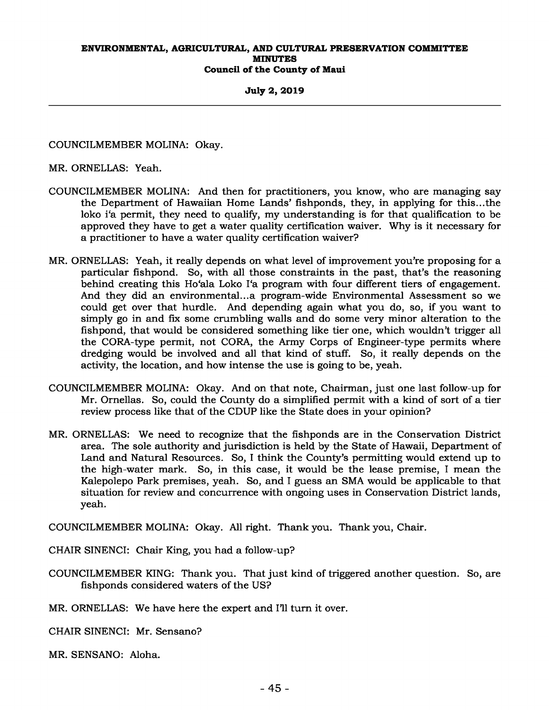**July 2, 2019** 

COUNCILMEMBER MOLINA: Okay.

MR. ORNELLAS: Yeah.

- COUNCILMEMBER MOLINA: And then for practitioners, you know, who are managing say the Department of Hawaiian Home Lands' fishponds, they, in applying for this...the loko i'a permit, they need to qualify, my understanding is for that qualification to be approved they have to get a water quality certification waiver. Why is it necessary for a practitioner to have a water quality certification waiver?
- MR. ORNELLAS: Yeah, it really depends on what level of improvement you're proposing for a particular fishpond. So, with all those constraints in the past, that's the reasoning behind creating this Ho'ala Loko I'a program with four different tiers of engagement. And they did an environmental...a program-wide Environmental Assessment so we could get over that hurdle. And depending again what you do, so, if you want to simply go in and fix some crumbling walls and do some very minor alteration to the fishpond, that would be considered something like tier one, which wouldn't trigger all the CORA-type permit, not CORA, the Army Corps of Engineer-type permits where dredging would be involved and all that kind of stuff. So, it really depends on the activity, the location, and how intense the use is going to be, yeah.
- COUNCILMEMBER MOLINA: Okay. And on that note, Chairman, just one last follow-up for Mr. Ornellas. So, could the County do a simplified permit with a kind of sort of a tier review process like that of the CDUP like the State does in your opinion?
- MR. ORNELLAS: We need to recognize that the fishponds are in the Conservation District area. The sole authority and jurisdiction is held by the State of Hawaii, Department of Land and Natural Resources. So, I think the County's permitting would extend up to the high-water mark. So, in this case, it would be the lease premise, I mean the Kalepolepo Park premises, yeah. So, and I guess an SMA would be applicable to that situation for review and concurrence with ongoing uses in Conservation District lands, yeah.

COUNCILMEMBER MOLINA: Okay. All right. Thank you. Thank you, Chair.

CHAIR SINENCI: Chair King, you had a follow-up?

COUNCILMEMBER KING: Thank you. That just kind of triggered another question. So, are fishponds considered waters of the US?

MR. ORNELLAS: We have here the expert and I'll turn it over.

CHAIR SINENCI: Mr. Sensano?

MR. SENSANO: Aloha.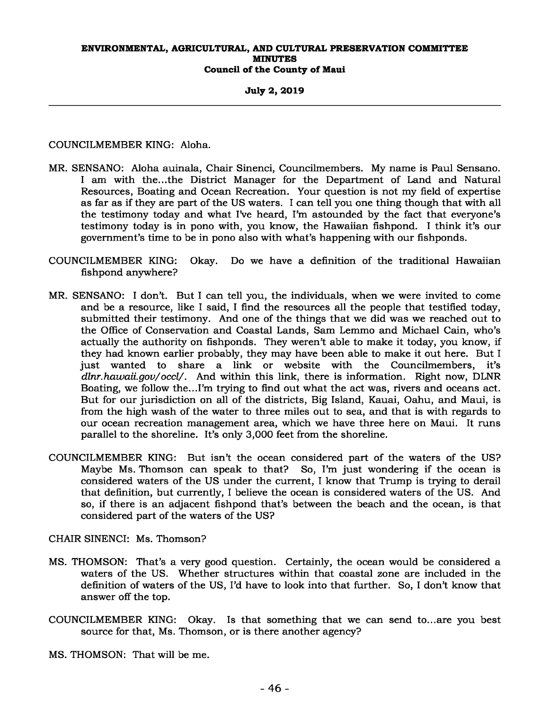**July 2, 2019** 

COUNCILMEMBER KING: Aloha.

- MR. SENSANO: Aloha auinala, Chair Sinenci, Councilmembers. My name is Paul Sensano. I am with the...the District Manager for the Department of Land and Natural Resources, Boating and Ocean Recreation. Your question is not my field of expertise as far as if they are part of the US waters. I can tell you one thing though that with all the testimony today and what I've heard, I'm astounded by the fact that everyone's testimony today is in pono with, you know, the Hawaiian fishpond. I think it's our government's time to be in pono also with what's happening with our fishponds.
- COUNCILMEMBER KING: Okay. Do we have a definition of the traditional Hawaiian fishpond anywhere?
- MR. SENSANO: I don't. But I can tell you, the individuals, when we were invited to come and be a resource, like I said, I find the resources all the people that testified today, submitted their testimony. And one of the things that we did was we reached out to the Office of Conservation and Coastal Lands, Sam Lemmo and Michael Cain, who's actually the authority on fishponds. They weren't able to make it today, you know, if they had known earlier probably, they may have been able to make it out here. But I just wanted to share a link or website with the Councilmembers, it's *dlnr.hawaii.gov/occl/*. And within this link, there is information. Right now, DLNR Boating, we follow the...I'm trying to find out what the act was, rivers and oceans act. But for our jurisdiction on all of the districts, Big Island, Kauai, Oahu, and Maui, is from the high wash of the water to three miles out to sea, and that is with regards to our ocean recreation management area, which we have three here on Maui. It runs parallel to the shoreline. It's only 3,000 feet from the shoreline.
- COUNCILMEMBER KING: But isn't the ocean considered part of the waters of the US? Maybe Ms. Thomson can speak to that? So, I'm just wondering if the ocean is considered waters of the US under the current, I know that Trump is trying to derail that definition, but currently, I believe the ocean is considered waters of the US. And so, if there is an adjacent fishpond that's between the beach and the ocean, is that considered part of the waters of the US?

CHAIR SINENCI: Ms. Thomson?

- MS. THOMSON: That's a very good question. Certainly, the ocean would be considered a waters of the US. Whether structures within that coastal zone are included in the definition of waters of the US, I'd have to look into that further. So, I don't know that answer off the top.
- COUNCILMEMBER KING: Okay. Is that something that we can send to...are you best source for that, Ms. Thomson, or is there another agency?

MS. THOMSON: That will be me.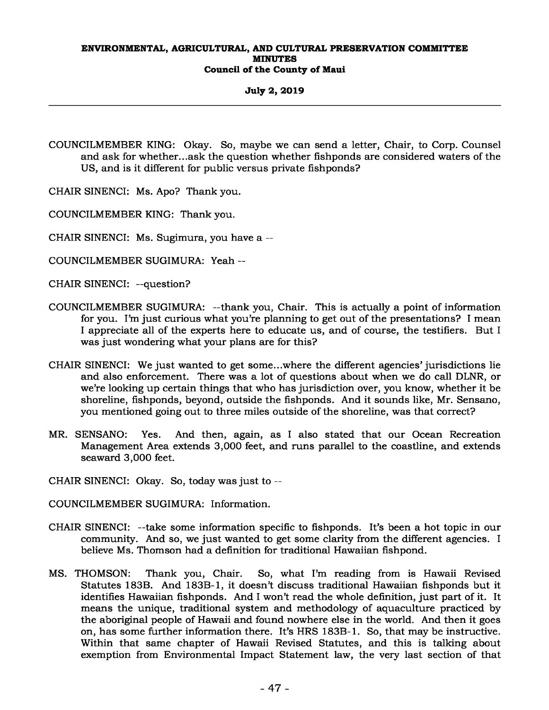**July 2, 2019** 

COUNCILMEMBER KING: Okay. So, maybe we can send a letter, Chair, to Corp. Counsel and ask for whether...ask the question whether fishponds are considered waters of the US, and is it different for public versus private fishponds?

CHAIR SINENCI: Ms. Apo? Thank you.

COUNCILMEMBER KING: Thank you.

CHAIR SINENCI: Ms. Sugimura, you have a --

COUNCILMEMBER SUGIMURA: Yeah --

CHAIR SINENCI: --question?

- COUNCILMEMBER SUGIMURA: --thank you, Chair. This is actually a point of information for you. I'm just curious what you're planning to get out of the presentations? I mean I appreciate all of the experts here to educate us, and of course, the testifiers. But I was just wondering what your plans are for this?
- CHAIR SINENCI: We just wanted to get some...where the different agencies' jurisdictions lie and also enforcement. There was a lot of questions about when we do call DLNR, or we're looking up certain things that who has jurisdiction over, you know, whether it be shoreline, fishponds, beyond, outside the fishponds. And it sounds like, Mr. Sensano, you mentioned going out to three miles outside of the shoreline, was that correct?
- MR. SENSANO: Yes. And then, again, as I also stated that our Ocean Recreation Management Area extends 3,000 feet, and runs parallel to the coastline, and extends seaward 3,000 feet.
- CHAIR SINENCI: Okay. So, today was just to --

COUNCILMEMBER SUGIMURA: Information.

- CHAIR SINENCI: --take some information specific to fishponds. It's been a hot topic in our community. And so, we just wanted to get some clarity from the different agencies. I believe Ms. Thomson had a definition for traditional Hawaiian fishpond.
- MS. THOMSON: Thank you, Chair. So, what I'm reading from is Hawaii Revised Statutes 183B. And 183B-1, it doesn't discuss traditional Hawaiian fishponds but it identifies Hawaiian fishponds. And I won't read the whole definition, just part of it. It means the unique, traditional system and methodology of aquaculture practiced by the aboriginal people of Hawaii and found nowhere else in the world. And then it goes on, has some further information there. It's HRS 183B-1. So, that may be instructive. Within that same chapter of Hawaii Revised Statutes, and this is talking about exemption from Environmental Impact Statement law, the very last section of that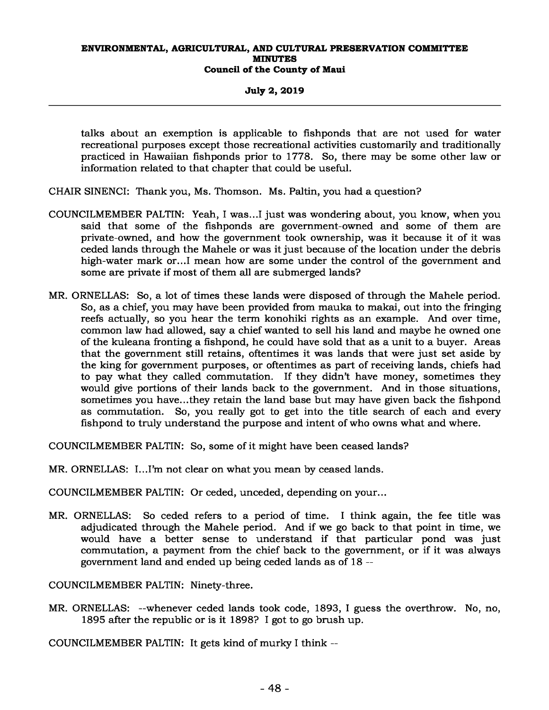**July 2, 2019** 

talks about an exemption is applicable to fishponds that are not used for water recreational purposes except those recreational activities customarily and traditionally practiced in Hawaiian fishponds prior to 1778. So, there may be some other law or information related to that chapter that could be useful.

- CHAIR SINENCI: Thank you, Ms. Thomson. Ms. Paltin, you had a question?
- COUNCILMEMBER PALTIN: Yeah, I was...I just was wondering about, you know, when you said that some of the fishponds are government-owned and some of them are private-owned, and how the government took ownership, was it because it of it was ceded lands through the Mahele or was it just because of the location under the debris high-water mark or...I mean how are some under the control of the government and some are private if most of them all are submerged lands?
- MR. ORNELLAS: So, a lot of times these lands were disposed of through the Mahele period. So, as a chief, you may have been provided from mauka to makai, out into the fringing reefs actually, so you hear the term konohiki rights as an example. And over time, common law had allowed, say a chief wanted to sell his land and maybe he owned one of the kuleana fronting a fishpond, he could have sold that as a unit to a buyer. Areas that the government still retains, oftentimes it was lands that were just set aside by the king for government purposes, or oftentimes as part of receiving lands, chiefs had to pay what they called commutation. If they didn't have money, sometimes they would give portions of their lands back to the government. And in those situations, sometimes you have...they retain the land base but may have given back the fishpond as commutation. So, you really got to get into the title search of each and every fishpond to truly understand the purpose and intent of who owns what and where.

COUNCILMEMBER PALTIN: So, some of it might have been ceased lands?

MR. ORNELLAS: I...I'm not clear on what you mean by ceased lands.

COUNCILMEMBER PALTIN: Or ceded, unceded, depending on your...

MR. ORNELLAS: So ceded refers to a period of time. I think again, the fee title was adjudicated through the Mahele period. And if we go back to that point in time, we would have a better sense to understand if that particular pond was just commutation, a payment from the chief back to the government, or if it was always government land and ended up being ceded lands as of 18 --

COUNCILMEMBER PALTIN: Ninety-three.

MR. ORNELLAS: --whenever ceded lands took code, 1893, I guess the overthrow. No, no, 1895 after the republic or is it 1898? I got to go brush up.

COUNCILMEMBER PALTIN: It gets kind of murky I think --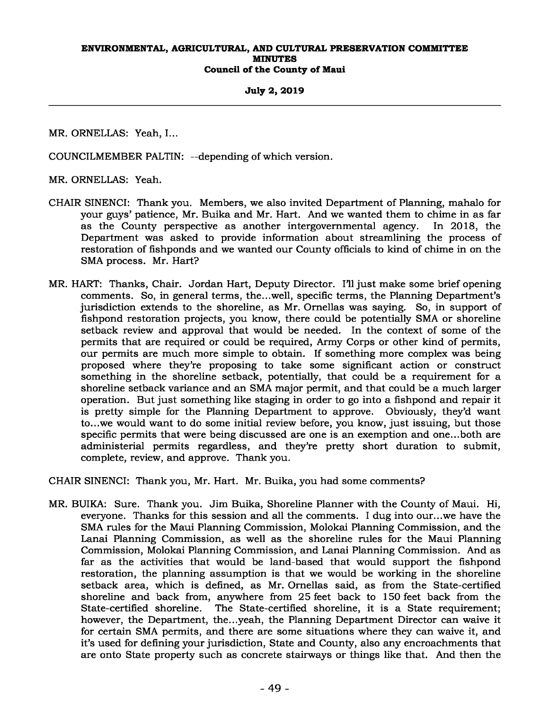## **July 2, 2019**

MR. ORNELLAS: Yeah, I...

COUNCILMEMBER PALTIN: --depending of which version.

MR. ORNELLAS: Yeah.

- CHAIR SINENCI: Thank you. Members, we also invited Department of Planning, mahalo for your guys' patience, Mr. Buika and Mr. Hart. And we wanted them to chime in as far as the County perspective as another intergovernmental agency. In 2018, the Department was asked to provide information about streamlining the process of restoration of fishponds and we wanted our County officials to kind of chime in on the SMA process. Mr. Hart?
- MR. HART: Thanks, Chair. Jordan Hart, Deputy Director. I'll just make some brief opening comments. So, in general terms, the...well, specific terms, the Planning Department's jurisdiction extends to the shoreline, as Mr. Ornellas was saying. So, in support of fishpond restoration projects, you know, there could be potentially SMA or shoreline setback review and approval that would be needed. In the context of some of the permits that are required or could be required, Army Corps or other kind of permits, our permits are much more simple to obtain. If something more complex was being proposed where they're proposing to take some significant action or construct something in the shoreline setback, potentially, that could be a requirement for a shoreline setback variance and an SMA major permit, and that could be a much larger operation. But just something like staging in order to go into a fishpond and repair it is pretty simple for the Planning Department to approve. Obviously, they'd want to...we would want to do some initial review before, you know, just issuing, but those specific permits that were being discussed are one is an exemption and one...both are administerial permits regardless, and they're pretty short duration to submit, complete, review, and approve. Thank you.

CHAIR SINENCI: Thank you, Mr. Hart. Mr. Buika, you had some comments?

MR. BUIKA: Sure. Thank you. Jim Buika, Shoreline Planner with the County of Maui. Hi, everyone. Thanks for this session and all the comments. I dug into our...we have the SMA rules for the Maui Planning Commission, Molokai Planning Commission, and the Lanai Planning Commission, as well as the shoreline rules for the Maui Planning Commission, Molokai Planning Commission, and Lanai Planning Commission. And as far as the activities that would be land-based that would support the fishpond restoration, the planning assumption is that we would be working in the shoreline setback area, which is defined, as Mr. Ornellas said, as from the State-certified shoreline and back from, anywhere from 25 feet back to 150 feet back from the State-certified shoreline. The State-certified shoreline, it is a State requirement; however, the Department, the...yeah, the Planning Department Director can waive it for certain SMA permits, and there are some situations where they can waive it, and it's used for defining your jurisdiction, State and County, also any encroachments that are onto State property such as concrete stairways or things like that. And then the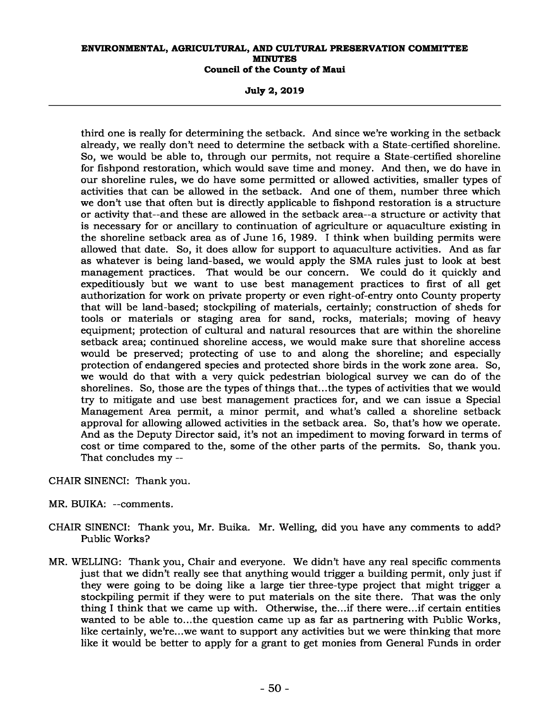**July 2, 2019** 

third one is really for determining the setback. And since we're working in the setback already, we really don't need to determine the setback with a State-certified shoreline. So, we would be able to, through our permits, not require a State-certified shoreline for fishpond restoration, which would save time and money. And then, we do have in our shoreline rules, we do have some permitted or allowed activities, smaller types of activities that can be allowed in the setback. And one of them, number three which we don't use that often but is directly applicable to fishpond restoration is a structure or activity that--and these are allowed in the setback area--a structure or activity that is necessary for or ancillary to continuation of agriculture or aquaculture existing in the shoreline setback area as of June 16, 1989. I think when building permits were allowed that date. So, it does allow for support to aquaculture activities. And as far as whatever is being land-based, we would apply the SMA rules just to look at best management practices. That would be our concern. We could do it quickly and expeditiously but we want to use best management practices to first of all get authorization for work on private property or even right-of-entry onto County property that will be land-based; stockpiling of materials, certainly; construction of sheds for tools or materials or staging area for sand, rocks, materials; moving of heavy equipment; protection of cultural and natural resources that are within the shoreline setback area; continued shoreline access, we would make sure that shoreline access would be preserved; protecting of use to and along the shoreline; and especially protection of endangered species and protected shore birds in the work zone area. So, we would do that with a very quick pedestrian biological survey we can do of the shorelines. So, those are the types of things that...the types of activities that we would try to mitigate and use best management practices for, and we can issue a Special Management Area permit, a minor permit, and what's called a shoreline setback approval for allowing allowed activities in the setback area. So, that's how we operate. And as the Deputy Director said, it's not an impediment to moving forward in terms of cost or time compared to the, some of the other parts of the permits. So, thank you. That concludes my --

CHAIR SINENCI: Thank you.

- MR. BUIKA: --comments.
- CHAIR SINENCI: Thank you, Mr. Buika. Mr. Welling, did you have any comments to add? Public Works?
- MR. WELLING: Thank you, Chair and everyone. We didn't have any real specific comments just that we didn't really see that anything would trigger a building permit, only just if they were going to be doing like a large tier three-type project that might trigger a stockpiling permit if they were to put materials on the site there. That was the only thing I think that we came up with. Otherwise, the...if there were...if certain entities wanted to be able to...the question came up as far as partnering with Public Works, like certainly, we're...we want to support any activities but we were thinking that more like it would be better to apply for a grant to get monies from General Funds in order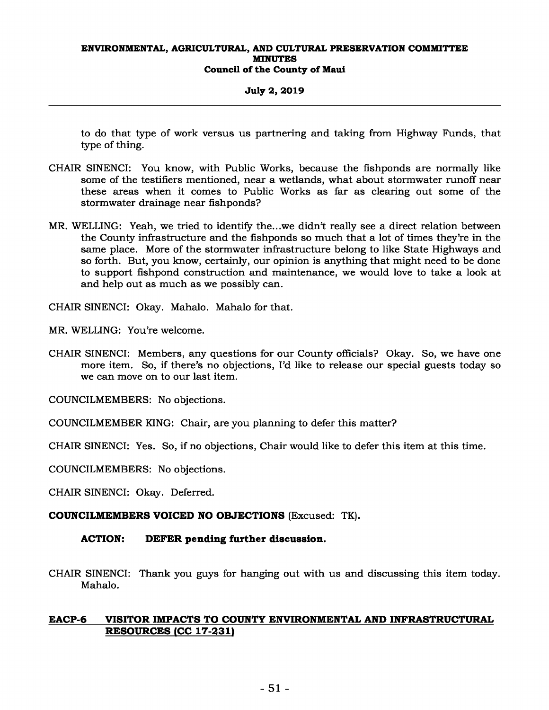## **July 2, 2019**

to do that type of work versus us partnering and taking from Highway Funds, that type of thing.

- CHAIR SINENCI: You know, with Public Works, because the fishponds are normally like some of the testifiers mentioned, near a wetlands, what about stormwater runoff near these areas when it comes to Public Works as far as clearing out some of the stormwater drainage near fishponds?
- MR. WELLING: Yeah, we tried to identify the...we didn't really see a direct relation between the County infrastructure and the fishponds so much that a lot of times they're in the same place. More of the stormwater infrastructure belong to like State Highways and so forth. But, you know, certainly, our opinion is anything that might need to be done to support fishpond construction and maintenance, we would love to take a look at and help out as much as we possibly can.

CHAIR SINENCI: Okay. Mahalo. Mahalo for that.

MR. WELLING: You're welcome.

CHAIR SINENCI: Members, any questions for our County officials? Okay. So, we have one more item. So, if there's no objections, I'd like to release our special guests today so we can move on to our last item.

COUNCILMEMBERS: No objections.

COUNCILMEMBER KING: Chair, are you planning to defer this matter?

CHAIR SINENCI: Yes. So, if no objections, Chair would like to defer this item at this time.

COUNCILMEMBERS: No objections.

CHAIR SINENCI: Okay. Deferred.

**COUNCILMEMBERS VOICED NO OBJECTIONS** (Excused: TK)**.** 

## **ACTION: DEFER pending further discussion.**

CHAIR SINENCI: Thank you guys for hanging out with us and discussing this item today. Mahalo.

## **EACP-6 VISITOR IMPACTS TO COUNTY ENVIRONMENTAL AND INFRASTRUCTURAL RESOURCES (CC 17-231)**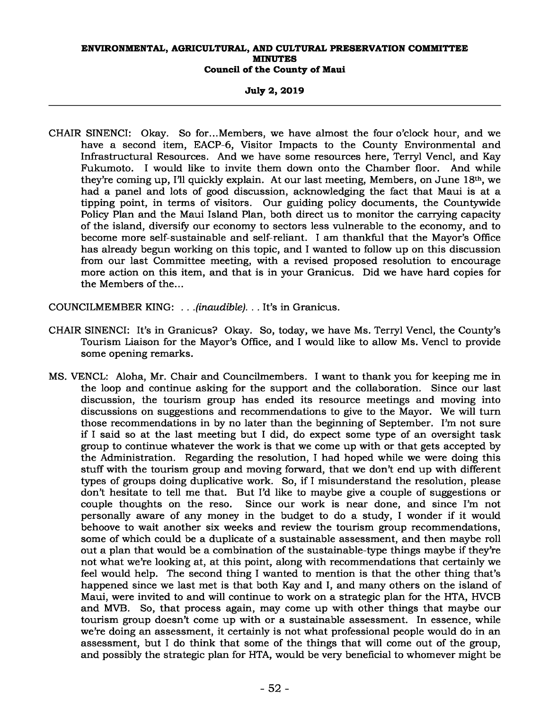## **July 2, 2019**

CHAIR SINENCI: Okay. So for...Members, we have almost the four o'clock hour, and we have a second item, EACP-6, Visitor Impacts to the County Environmental and Infrastructural Resources. And we have some resources here, Terryl Vencl, and Kay Fukumoto. I would like to invite them down onto the Chamber floor. And while they're coming up, I'll quickly explain. At our last meeting, Members, on June 18th, we had a panel and lots of good discussion, acknowledging the fact that Maui is at a tipping point, in terms of visitors. Our guiding policy documents, the Countywide Policy Plan and the Maui Island Plan, both direct us to monitor the carrying capacity of the island, diversify our economy to sectors less vulnerable to the economy, and to become more self-sustainable and self-reliant. I am thankful that the Mayor's Office has already begun working on this topic, and I wanted to follow up on this discussion from our last Committee meeting, with a revised proposed resolution to encourage more action on this item, and that is in your Granicus. Did we have hard copies for the Members of the...

COUNCILMEMBER KING: *. . .(inaudible). . .* It's in Granicus.

- CHAIR SINENCI: It's in Granicus? Okay. So, today, we have Ms. Terryl Vencl, the County's Tourism Liaison for the Mayor's Office, and I would like to allow Ms. Vencl to provide some opening remarks.
- MS. VENCL: Aloha, Mr. Chair and Councilmembers. I want to thank you for keeping me in the loop and continue asking for the support and the collaboration. Since our last discussion, the tourism group has ended its resource meetings and moving into discussions on suggestions and recommendations to give to the Mayor. We will turn those recommendations in by no later than the beginning of September. I'm not sure if I said so at the last meeting but I did, do expect some type of an oversight task group to continue whatever the work is that we come up with or that gets accepted by the Administration. Regarding the resolution, I had hoped while we were doing this stuff with the tourism group and moving forward, that we don't end up with different types of groups doing duplicative work. So, if I misunderstand the resolution, please don't hesitate to tell me that. But I'd like to maybe give a couple of suggestions or couple thoughts on the reso. Since our work is near done, and since I'm not Since our work is near done, and since I'm not personally aware of any money in the budget to do a study, I wonder if it would behoove to wait another six weeks and review the tourism group recommendations, some of which could be a duplicate of a sustainable assessment, and then maybe roll out a plan that would be a combination of the sustainable-type things maybe if they're not what we're looking at, at this point, along with recommendations that certainly we feel would help. The second thing I wanted to mention is that the other thing that's happened since we last met is that both Kay and I, and many others on the island of Maui, were invited to and will continue to work on a strategic plan for the HTA, HVCB and MVB. So, that process again, may come up with other things that maybe our tourism group doesn't come up with or a sustainable assessment. In essence, while we're doing an assessment, it certainly is not what professional people would do in an assessment, but I do think that some of the things that will come out of the group, and possibly the strategic plan for HTA, would be very beneficial to whomever might be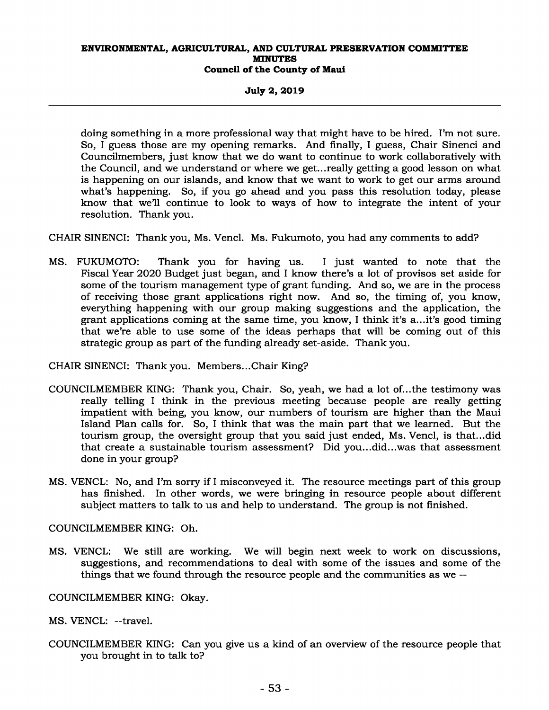**July 2, 2019** 

doing something in a more professional way that might have to be hired. I'm not sure. So, I guess those are my opening remarks. And finally, I guess, Chair Sinenci and Councilmembers, just know that we do want to continue to work collaboratively with the Council, and we understand or where we get...really getting a good lesson on what is happening on our islands, and know that we want to work to get our arms around what's happening. So, if you go ahead and you pass this resolution today, please know that we'll continue to look to ways of how to integrate the intent of your resolution. Thank you.

CHAIR SINENCI: Thank you, Ms. Vencl. Ms. Fukumoto, you had any comments to add?

MS. FUKUMOTO: Thank you for having us. I just wanted to note that the Fiscal Year 2020 Budget just began, and I know there's a lot of provisos set aside for some of the tourism management type of grant funding. And so, we are in the process of receiving those grant applications right now. And so, the timing of, you know, everything happening with our group making suggestions and the application, the grant applications coming at the same time, you know, I think it's a...it's good timing that we're able to use some of the ideas perhaps that will be coming out of this strategic group as part of the funding already set-aside. Thank you.

CHAIR SINENCI: Thank you. Members...Chair King?

- COUNCILMEMBER KING: Thank you, Chair. So, yeah, we had a lot of...the testimony was really telling I think in the previous meeting because people are really getting impatient with being, you know, our numbers of tourism are higher than the Maui Island Plan calls for. So, I think that was the main part that we learned. But the tourism group, the oversight group that you said just ended, Ms. Vencl, is that...did that create a sustainable tourism assessment? Did you...did...was that assessment done in your group?
- MS. VENCL: No, and I'm sorry if I misconveyed it. The resource meetings part of this group has finished. In other words, we were bringing in resource people about different subject matters to talk to us and help to understand. The group is not finished.

COUNCILMEMBER KING: Oh.

MS. VENCL: We still are working. We will begin next week to work on discussions, suggestions, and recommendations to deal with some of the issues and some of the things that we found through the resource people and the communities as we --

COUNCILMEMBER KING: Okay.

MS. VENCL: --travel.

COUNCILMEMBER KING: Can you give us a kind of an overview of the resource people that you brought in to talk to?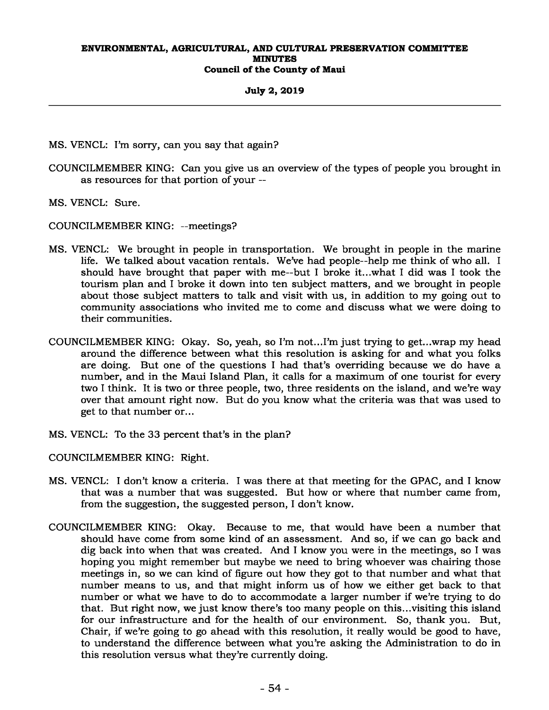## **July 2, 2019**

- MS. VENCL: I'm sorry, can you say that again?
- COUNCILMEMBER KING: Can you give us an overview of the types of people you brought in as resources for that portion of your --
- MS. VENCL: Sure.
- COUNCILMEMBER KING: --meetings?
- MS. VENCL: We brought in people in transportation. We brought in people in the marine life. We talked about vacation rentals. We've had people--help me think of who all. I should have brought that paper with me--but I broke it...what I did was I took the tourism plan and I broke it down into ten subject matters, and we brought in people about those subject matters to talk and visit with us, in addition to my going out to community associations who invited me to come and discuss what we were doing to their communities.
- COUNCILMEMBER KING: Okay. So, yeah, so I'm not...I'm just trying to get...wrap my head around the difference between what this resolution is asking for and what you folks are doing. But one of the questions I had that's overriding because we do have a number, and in the Maui Island Plan, it calls for a maximum of one tourist for every two I think. It is two or three people, two, three residents on the island, and we're way over that amount right now. But do you know what the criteria was that was used to get to that number or...
- MS. VENCL: To the 33 percent that's in the plan?
- COUNCILMEMBER KING: Right.
- MS. VENCL: I don't know a criteria. I was there at that meeting for the GPAC, and I know that was a number that was suggested. But how or where that number came from, from the suggestion, the suggested person, I don't know.
- COUNCILMEMBER KING: Okay. Because to me, that would have been a number that should have come from some kind of an assessment. And so, if we can go back and dig back into when that was created. And I know you were in the meetings, so I was hoping you might remember but maybe we need to bring whoever was chairing those meetings in, so we can kind of figure out how they got to that number and what that number means to us, and that might inform us of how we either get back to that number or what we have to do to accommodate a larger number if we're trying to do that. But right now, we just know there's too many people on this...visiting this island for our infrastructure and for the health of our environment. So, thank you. But, Chair, if we're going to go ahead with this resolution, it really would be good to have, to understand the difference between what you're asking the Administration to do in this resolution versus what they're currently doing.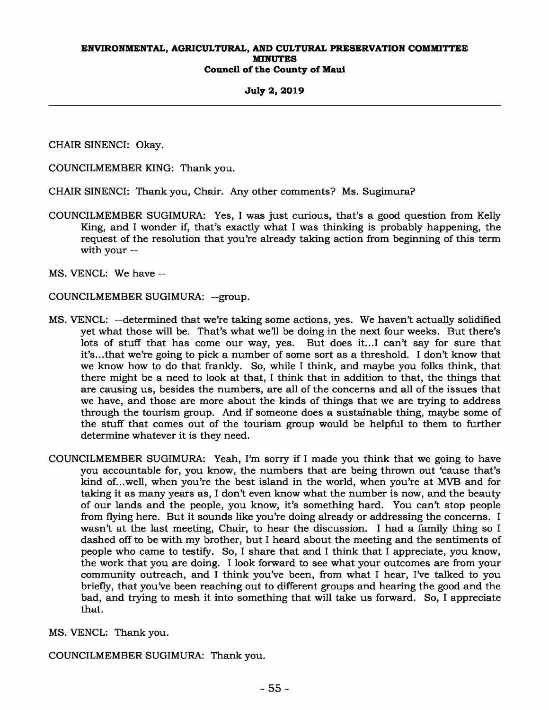## **July 2, 2019**

CHAIR SINENCI: Okay.

COUNCILMEMBER KING: Thank you.

CHAIR SINENCI: Thank you, Chair. Any other comments? Ms. Sugimura?

COUNCILMEMBER SUGIMURA: Yes, I was just curious, that's a good question from Kelly King, and I wonder if, that's exactly what I was thinking is probably happening, the request of the resolution that you're already taking action from beginning of this term with your --

MS. VENCL: We have --

COUNCILMEMBER SUGIMURA: --group.

- MS. VENCL: --determined that we're taking some actions, yes. We haven't actually solidified yet what those will be. That's what we'll be doing in the next four weeks. But there's lots of stuff that has come our way, yes. But does it...I can't say for sure that it's...that we're going to pick a number of some sort as a threshold. I don't know that we know how to do that frankly. So, while I think, and maybe you folks think, that there might be a need to look at that, I think that in addition to that, the things that are causing us, besides the numbers, are all of the concerns and all of the issues that we have, and those are more about the kinds of things that we are trying to address through the tourism group. And if someone does a sustainable thing, maybe some of the stuff that comes out of the tourism group would be helpful to them to further determine whatever it is they need.
- COUNCILMEMBER SUGIMURA: Yeah, I'm sorry if I made you think that we going to have you accountable for, you know, the numbers that are being thrown out 'cause that's kind of...well, when you're the best island in the world, when you're at MVB and for taking it as many years as, I don't even know what the number is now, and the beauty of our lands and the people, you know, it's something hard. You can't stop people from flying here. But it sounds like you're doing already or addressing the concerns. I wasn't at the last meeting, Chair, to hear the discussion. I had a family thing so I dashed off to be with my brother, but I heard about the meeting and the sentiments of people who came to testify. So, I share that and I think that I appreciate, you know, the work that you are doing. I look forward to see what your outcomes are from your community outreach, and I think you've been, from what I hear, I've talked to you briefly, that you've been reaching out to different groups and hearing the good and the bad, and trying to mesh it into something that will take us forward. So, I appreciate that.

MS. VENCL: Thank you.

COUNCILMEMBER SUGIMURA: Thank you.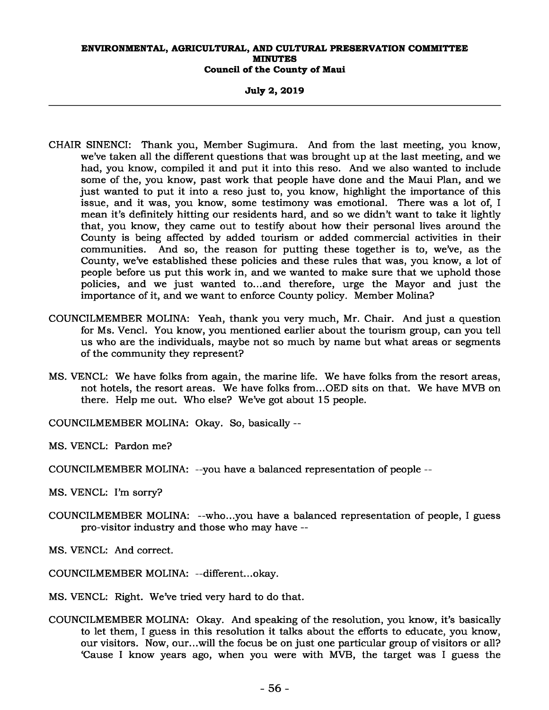**July 2, 2019** 

- CHAIR SINENCI: Thank you, Member Sugimura. And from the last meeting, you know, we've taken all the different questions that was brought up at the last meeting, and we had, you know, compiled it and put it into this reso. And we also wanted to include some of the, you know, past work that people have done and the Maui Plan, and we just wanted to put it into a reso just to, you know, highlight the importance of this issue, and it was, you know, some testimony was emotional. There was a lot of, I mean it's definitely hitting our residents hard, and so we didn't want to take it lightly that, you know, they came out to testify about how their personal lives around the County is being affected by added tourism or added commercial activities in their communities. And so, the reason for putting these together is to, we've, as the County, we've established these policies and these rules that was, you know, a lot of people before us put this work in, and we wanted to make sure that we uphold those policies, and we just wanted to...and therefore, urge the Mayor and just the importance of it, and we want to enforce County policy. Member Molina?
- COUNCILMEMBER MOLINA: Yeah, thank you very much, Mr. Chair. And just a question for Ms. Vencl. You know, you mentioned earlier about the tourism group, can you tell us who are the individuals, maybe not so much by name but what areas or segments of the community they represent?
- MS. VENCL: We have folks from again, the marine life. We have folks from the resort areas, not hotels, the resort areas. We have folks from...OED sits on that. We have MVB on there. Help me out. Who else? We've got about 15 people.
- COUNCILMEMBER MOLINA: Okay. So, basically --
- MS. VENCL: Pardon me?
- COUNCILMEMBER MOLINA: --you have a balanced representation of people --
- MS. VENCL: I'm sorry?
- COUNCILMEMBER MOLINA: --who...you have a balanced representation of people, I guess pro-visitor industry and those who may have --
- MS. VENCL: And correct.
- COUNCILMEMBER MOLINA: --different...okay.
- MS. VENCL: Right. We've tried very hard to do that.
- COUNCILMEMBER MOLINA: Okay. And speaking of the resolution, you know, it's basically to let them, I guess in this resolution it talks about the efforts to educate, you know, our visitors. Now, our...will the focus be on just one particular group of visitors or all? 'Cause I know years ago, when you were with MVB, the target was I guess the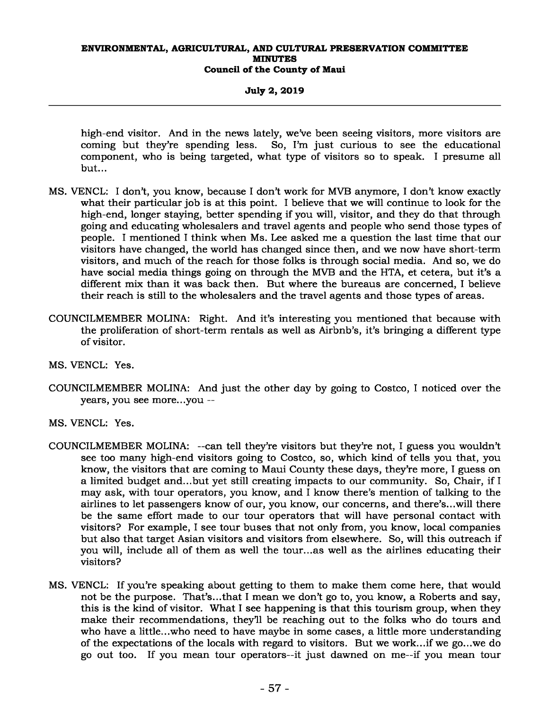## **July 2, 2019**

high-end visitor. And in the news lately, we've been seeing visitors, more visitors are coming but they're spending less. So, I'm just curious to see the educational component, who is being targeted, what type of visitors so to speak. I presume all but...

- MS. VENCL: I don't, you know, because I don't work for MVB anymore, I don't know exactly what their particular job is at this point. I believe that we will continue to look for the high-end, longer staying, better spending if you will, visitor, and they do that through going and educating wholesalers and travel agents and people who send those types of people. I mentioned I think when Ms. Lee asked me a question the last time that our visitors have changed, the world has changed since then, and we now have short-term visitors, and much of the reach for those folks is through social media. And so, we do have social media things going on through the MVB and the HTA, et cetera, but it's a different mix than it was back then. But where the bureaus are concerned, I believe their reach is still to the wholesalers and the travel agents and those types of areas.
- COUNCILMEMBER MOLINA: Right. And it's interesting you mentioned that because with the proliferation of short-term rentals as well as Airbnb's, it's bringing a different type of visitor.
- MS. VENCL: Yes.
- COUNCILMEMBER MOLINA: And just the other day by going to Costco, I noticed over the years, you see more...you --
- MS. VENCL: Yes.
- COUNCILMEMBER MOLINA: --can tell they're visitors but they're not, I guess you wouldn't see too many high-end visitors going to Costco, so, which kind of tells you that, you know, the visitors that are coming to Maui County these days, they're more, I guess on a limited budget and...but yet still creating impacts to our community. So, Chair, if I may ask, with tour operators, you know, and I know there's mention of talking to the airlines to let passengers know of our, you know, our concerns, and there's...will there be the same effort made to our tour operators that will have personal contact with visitors? For example, I see tour buses that not only from, you know, local companies but also that target Asian visitors and visitors from elsewhere. So, will this outreach if you will, include all of them as well the tour...as well as the airlines educating their visitors?
- MS. VENCL: If you're speaking about getting to them to make them come here, that would not be the purpose. That's...that I mean we don't go to, you know, a Roberts and say, this is the kind of visitor. What I see happening is that this tourism group, when they make their recommendations, they'll be reaching out to the folks who do tours and who have a little...who need to have maybe in some cases, a little more understanding of the expectations of the locals with regard to visitors. But we work...if we go...we do go out too. If you mean tour operators--it just dawned on me--if you mean tour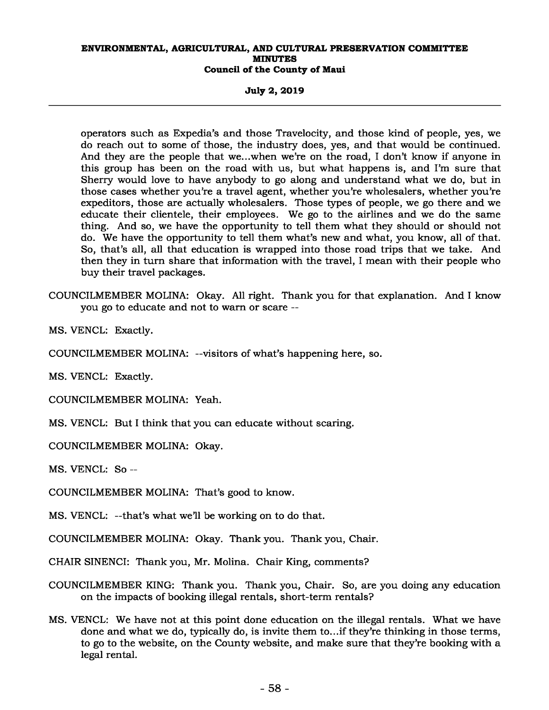**July 2, 2019** 

operators such as Expedia's and those Travelocity, and those kind of people, yes, we do reach out to some of those, the industry does, yes, and that would be continued. And they are the people that we...when we're on the road, I don't know if anyone in this group has been on the road with us, but what happens is, and I'm sure that Sherry would love to have anybody to go along and understand what we do, but in those cases whether you're a travel agent, whether you're wholesalers, whether you're expeditors, those are actually wholesalers. Those types of people, we go there and we educate their clientele, their employees. We go to the airlines and we do the same thing. And so, we have the opportunity to tell them what they should or should not do. We have the opportunity to tell them what's new and what, you know, all of that. So, that's all, all that education is wrapped into those road trips that we take. And then they in turn share that information with the travel, I mean with their people who buy their travel packages.

COUNCILMEMBER MOLINA: Okay. All right. Thank you for that explanation. And I know you go to educate and not to warn or scare --

MS. VENCL: Exactly.

COUNCILMEMBER MOLINA: --visitors of what's happening here, so.

MS. VENCL: Exactly.

COUNCILMEMBER MOLINA: Yeah.

MS. VENCL: But I think that you can educate without scaring.

COUNCILMEMBER MOLINA: Okay.

MS. VENCL: So --

COUNCILMEMBER MOLINA: That's good to know.

MS. VENCL: --that's what we'll be working on to do that.

COUNCILMEMBER MOLINA: Okay. Thank you. Thank you, Chair.

CHAIR SINENCI: Thank you, Mr. Molina. Chair King, comments?

- COUNCILMEMBER KING: Thank you. Thank you, Chair. So, are you doing any education on the impacts of booking illegal rentals, short-term rentals?
- MS. VENCL: We have not at this point done education on the illegal rentals. What we have done and what we do, typically do, is invite them to...if they're thinking in those terms, to go to the website, on the County website, and make sure that they're booking with a legal rental.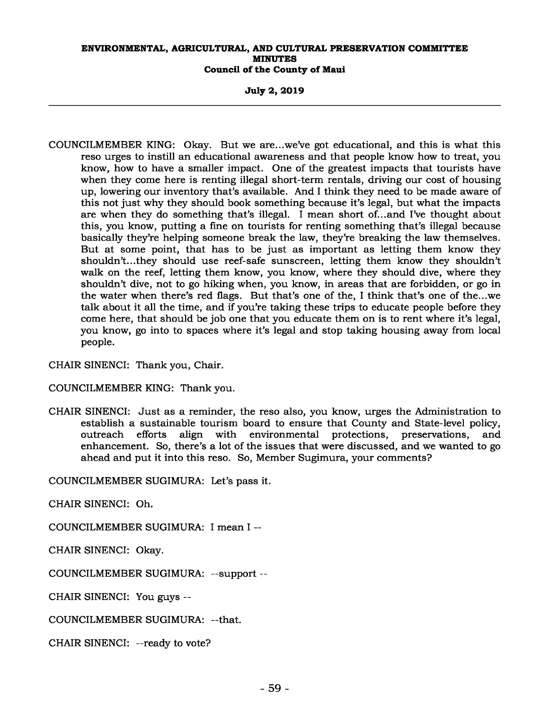**July 2, 2019** 

COUNCILMEMBER KING: Okay. But we are...we've got educational, and this is what this reso urges to instill an educational awareness and that people know how to treat, you know, how to have a smaller impact. One of the greatest impacts that tourists have when they come here is renting illegal short-term rentals, driving our cost of housing up, lowering our inventory that's available. And I think they need to be made aware of this not just why they should book something because it's legal, but what the impacts are when they do something that's illegal. I mean short of...and I've thought about this, you know, putting a fine on tourists for renting something that's illegal because basically they're helping someone break the law, they're breaking the law themselves. But at some point, that has to be just as important as letting them know they shouldn't...they should use reef-safe sunscreen, letting them know they shouldn't walk on the reef, letting them know, you know, where they should dive, where they shouldn't dive, not to go hiking when, you know, in areas that are forbidden, or go in the water when there's red flags. But that's one of the, I think that's one of the...we talk about it all the time, and if you're taking these trips to educate people before they come here, that should be job one that you educate them on is to rent where it's legal, you know, go into to spaces where it's legal and stop taking housing away from local people.

CHAIR SINENCI: Thank you, Chair.

COUNCILMEMBER KING: Thank you.

CHAIR SINENCI: Just as a reminder, the reso also, you know, urges the Administration to establish a sustainable tourism board to ensure that County and State-level policy, outreach efforts align with environmental protections, preservations, and enhancement. So, there's a lot of the issues that were discussed, and we wanted to go ahead and put it into this reso. So, Member Sugimura, your comments?

COUNCILMEMBER SUGIMURA: Let's pass it.

CHAIR SINENCI: Oh.

COUNCILMEMBER SUGIMURA: I mean I --

CHAIR SINENCI: Okay.

COUNCILMEMBER SUGIMURA: --support --

CHAIR SINENCI: You guys --

COUNCILMEMBER SUGIMURA: --that.

CHAIR SINENCI: --ready to vote?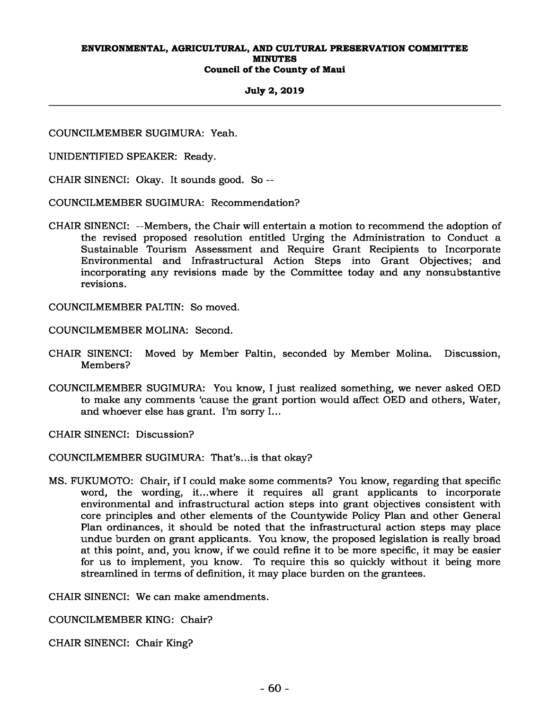### **July 2, 2019**

COUNCILMEMBER SUGIMURA: Yeah.

UNIDENTIFIED SPEAKER: Ready.

CHAIR SINENCI: Okay. It sounds good. So --

COUNCILMEMBER SUGIMURA: Recommendation?

CHAIR SINENCI: --Members, the Chair will entertain a motion to recommend the adoption of the revised proposed resolution entitled Urging the Administration to Conduct a Sustainable Tourism Assessment and Require Grant Recipients to Incorporate Environmental and Infrastructural Action Steps into Grant Objectives; and incorporating any revisions made by the Committee today and any nonsubstantive revisions.

COUNCILMEMBER PALTIN: So moved.

COUNCILMEMBER MOLINA: Second.

- CHAIR SINENCI: Moved by Member Paltin, seconded by Member Molina. Discussion, Members?
- COUNCILMEMBER SUGIMURA: You know, I just realized something, we never asked OED to make any comments 'cause the grant portion would affect OED and others, Water, and whoever else has grant. I'm sorry I...

CHAIR SINENCI: Discussion?

COUNCILMEMBER SUGIMURA: That's...is that okay?

MS. FUKUMOTO: Chair, if I could make some comments? You know, regarding that specific word, the wording, it...where it requires all grant applicants to incorporate environmental and infrastructural action steps into grant objectives consistent with core principles and other elements of the Countywide Policy Plan and other General Plan ordinances, it should be noted that the infrastructural action steps may place undue burden on grant applicants. You know, the proposed legislation is really broad at this point, and, you know, if we could refine it to be more specific, it may be easier for us to implement, you know. To require this so quickly without it being more streamlined in terms of definition, it may place burden on the grantees.

CHAIR SINENCI: We can make amendments.

COUNCILMEMBER KING: Chair?

CHAIR SINENCI: Chair King?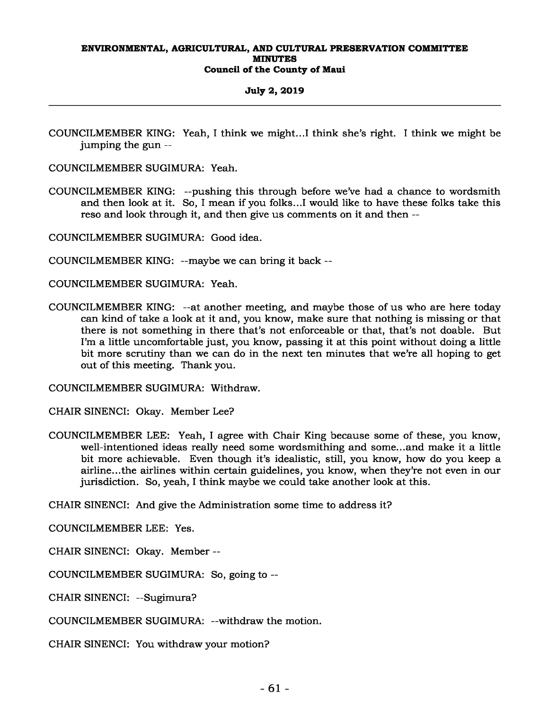## **July 2, 2019**

COUNCILMEMBER KING: Yeah, I think we might...I think she's right. I think we might be jumping the gun --

COUNCILMEMBER SUGIMURA: Yeah.

COUNCILMEMBER KING: --pushing this through before we've had a chance to wordsmith and then look at it. So, I mean if you folks...I would like to have these folks take this reso and look through it, and then give us comments on it and then --

COUNCILMEMBER SUGIMURA: Good idea.

COUNCILMEMBER KING: --maybe we can bring it back --

COUNCILMEMBER SUGIMURA: Yeah.

COUNCILMEMBER KING: --at another meeting, and maybe those of us who are here today can kind of take a look at it and, you know, make sure that nothing is missing or that there is not something in there that's not enforceable or that, that's not doable. But I'm a little uncomfortable just, you know, passing it at this point without doing a little bit more scrutiny than we can do in the next ten minutes that we're all hoping to get out of this meeting. Thank you.

COUNCILMEMBER SUGIMURA: Withdraw.

CHAIR SINENCI: Okay. Member Lee?

COUNCILMEMBER LEE: Yeah, I agree with Chair King because some of these, you know, well-intentioned ideas really need some wordsmithing and some...and make it a little bit more achievable. Even though it's idealistic, still, you know, how do you keep a airline...the airlines within certain guidelines, you know, when they're not even in our jurisdiction. So, yeah, I think maybe we could take another look at this.

CHAIR SINENCI: And give the Administration some time to address it?

COUNCILMEMBER LEE: Yes.

CHAIR SINENCI: Okay. Member --

COUNCILMEMBER SUGIMURA: So, going to --

CHAIR SINENCI: --Sugimura?

COUNCILMEMBER SUGIMURA: --withdraw the motion.

CHAIR SINENCI: You withdraw your motion?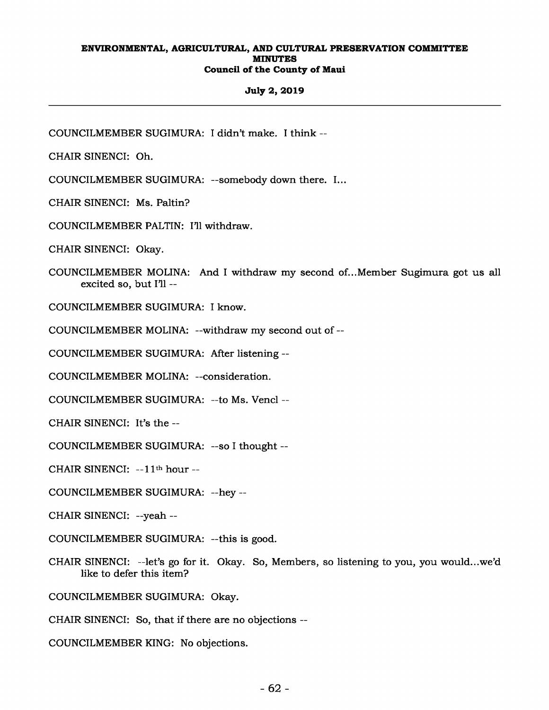## **July 2, 2019**

COUNCILMEMBER SUGIMURA: I didn't make. I think --

CHAIR SINENCI: Oh.

COUNCILMEMBER SUGIMURA: --somebody down there. I...

CHAIR SINENCI: Ms. Paltin?

COUNCILMEMBER PALTIN: I'll withdraw.

CHAIR SINENCI: Okay.

COUNCILMEMBER MOLINA: And I withdraw my second of...Member Sugimura got us all excited so, but I'll --

COUNCILMEMBER SUGIMURA: I know.

COUNCILMEMBER MOLINA: --withdraw my second out of --

COUNCILMEMBER SUGIMURA: After listening --

COUNCILMEMBER MOLINA: --consideration.

COUNCILMEMBER SUGIMURA: --to Ms. Vencl --

CHAIR SINENCI: It's the --

COUNCILMEMBER SUGIMURA: --so I thought --

CHAIR SINENCI: --11th hour --

COUNCILMEMBER SUGIMURA: --hey --

CHAIR SINENCI: --yeah --

COUNCILMEMBER SUGIMURA: --this is good.

CHAIR SINENCI: --let's go for it. Okay. So, Members, so listening to you, you would...we'd like to defer this item?

COUNCILMEMBER SUGIMURA: Okay.

CHAIR SINENCI: So, that if there are no objections --

COUNCILMEMBER KING: No objections.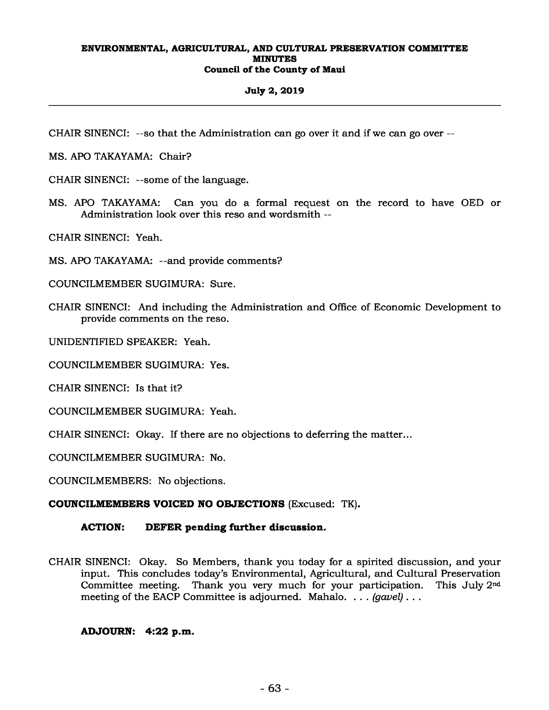## **July 2, 2019**

CHAIR SINENCI: --so that the Administration can go over it and if we can go over --

MS. APO TAKAYAMA: Chair?

CHAIR SINENCI: --some of the language.

MS. APO TAKAYAMA: Can you do a formal request on the record to have OED or Administration look over this reso and wordsmith --

CHAIR SINENCI: Yeah.

MS. APO TAKAYAMA: --and provide comments?

COUNCILMEMBER SUGIMURA: Sure.

CHAIR SINENCI: And including the Administration and Office of Economic Development to provide comments on the reso.

UNIDENTIFIED SPEAKER: Yeah.

COUNCILMEMBER SUGIMURA: Yes.

CHAIR SINENCI: Is that it?

COUNCILMEMBER SUGIMURA: Yeah.

CHAIR SINENCI: Okay. If there are no objections to deferring the matter...

COUNCILMEMBER SUGIMURA: No.

COUNCILMEMBERS: No objections.

## **COUNCILMEMBERS VOICED NO OBJECTIONS** (Excused: TK)**.**

## **ACTION: DEFER pending further discussion.**

CHAIR SINENCI: Okay. So Members, thank you today for a spirited discussion, and your input. This concludes today's Environmental, Agricultural, and Cultural Preservation Committee meeting. Thank you very much for your participation. This July 2nd meeting of the EACP Committee is adjourned. Mahalo. . . . *(gavel)* . . .

## **ADJOURN: 4:22 p.m.**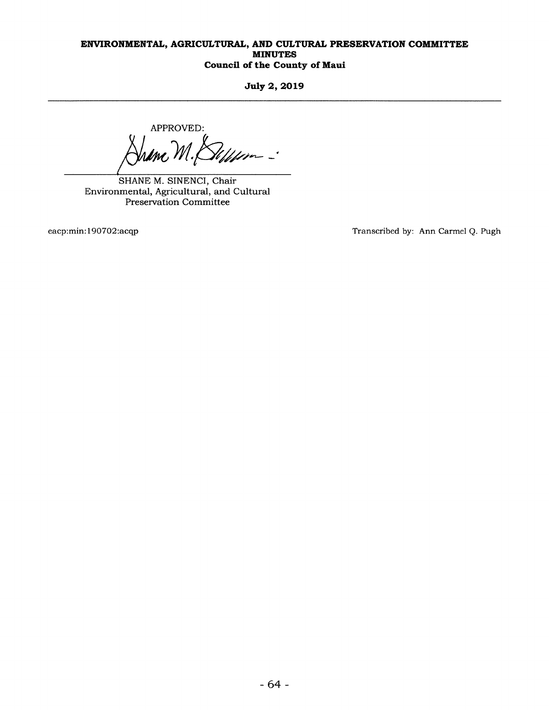**July 2, 2019** 

APPROVED:  $\mathcal{U}$ mc $\mathcal{M}.$ William -

SHANE M. SINENCI, Chair Environmental, Agricultural, and Cultural Preservation Committee

eacp:min:190702:acqp Transcribed by: Ann Carmel Q. Pugh